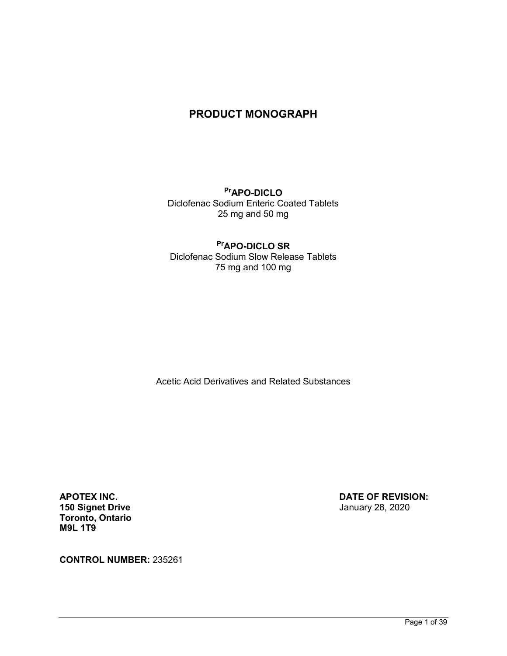# **PRODUCT MONOGRAPH**

**PrAPO-DICLO** Diclofenac Sodium Enteric Coated Tablets 25 mg and 50 mg

# **PrAPO-DICLO SR**

Diclofenac Sodium Slow Release Tablets 75 mg and 100 mg

Acetic Acid Derivatives and Related Substances

**150 Signet Drive** January 28, 2020 **Toronto, Ontario M9L 1T9** 

**APOTEX INC. DATE OF REVISION:**

**CONTROL NUMBER:** 235261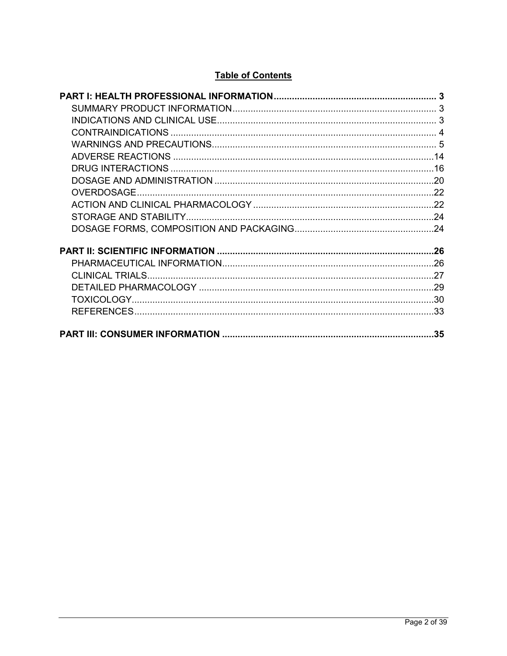# **Table of Contents**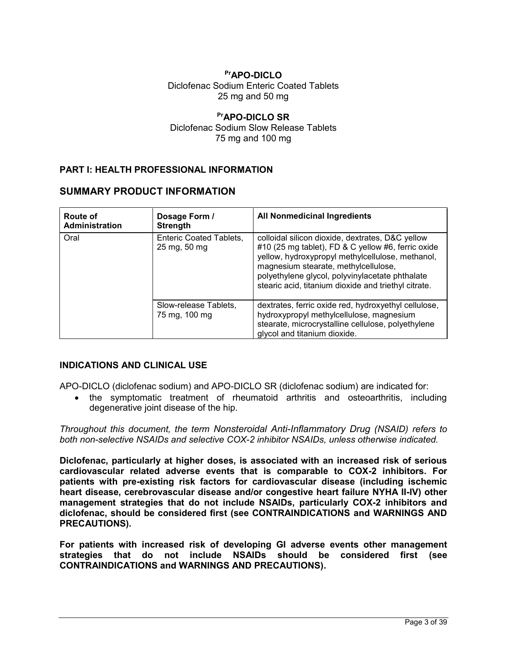## **PrAPO-DICLO** Diclofenac Sodium Enteric Coated Tablets 25 mg and 50 mg

## **PrAPO-DICLO SR** Diclofenac Sodium Slow Release Tablets 75 mg and 100 mg

## <span id="page-2-0"></span>**PART I: HEALTH PROFESSIONAL INFORMATION**

## <span id="page-2-1"></span>**SUMMARY PRODUCT INFORMATION**

| Route of<br>Administration | Dosage Form /<br><b>Strength</b>               | All Nonmedicinal Ingredients                                                                                                                                                                                                                                                                                  |
|----------------------------|------------------------------------------------|---------------------------------------------------------------------------------------------------------------------------------------------------------------------------------------------------------------------------------------------------------------------------------------------------------------|
| Oral                       | <b>Enteric Coated Tablets,</b><br>25 mg, 50 mg | colloidal silicon dioxide, dextrates, D&C yellow<br>#10 (25 mg tablet), FD & C yellow #6, ferric oxide<br>yellow, hydroxypropyl methylcellulose, methanol,<br>magnesium stearate, methylcellulose,<br>polyethylene glycol, polyvinylacetate phthalate<br>stearic acid, titanium dioxide and triethyl citrate. |
|                            | Slow-release Tablets,<br>75 mg, 100 mg         | dextrates, ferric oxide red, hydroxyethyl cellulose,<br>hydroxypropyl methylcellulose, magnesium<br>stearate, microcrystalline cellulose, polyethylene<br>glycol and titanium dioxide.                                                                                                                        |

## <span id="page-2-2"></span>**INDICATIONS AND CLINICAL USE**

APO-DICLO (diclofenac sodium) and APO-DICLO SR (diclofenac sodium) are indicated for:

 the symptomatic treatment of rheumatoid arthritis and osteoarthritis, including degenerative joint disease of the hip.

*Throughout this document, the term Nonsteroidal Anti-Inflammatory Drug (NSAID) refers to both non-selective NSAIDs and selective COX-2 inhibitor NSAIDs, unless otherwise indicated.*

**Diclofenac, particularly at higher doses, is associated with an increased risk of serious cardiovascular related adverse events that is comparable to COX-2 inhibitors. For patients with pre-existing risk factors for cardiovascular disease (including ischemic heart disease, cerebrovascular disease and/or congestive heart failure NYHA II-IV) other management strategies that do not include NSAlDs, particularly COX-2 inhibitors and diclofenac, should be considered first (see CONTRAINDICATIONS and WARNINGS AND PRECAUTIONS).**

**For patients with increased risk of developing GI adverse events other management strategies that do not include NSAIDs should be considered first (see CONTRAINDICATIONS and WARNINGS AND PRECAUTIONS).**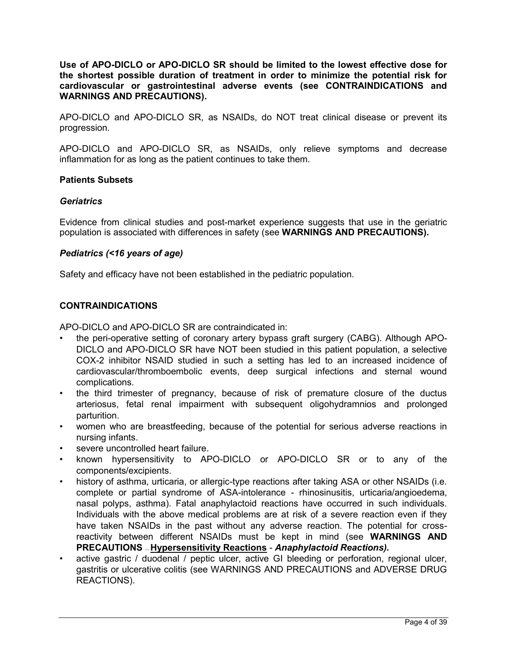**Use of APO-DICLO or APO-DICLO SR should be limited to the lowest effective dose for the shortest possible duration of treatment in order to minimize the potential risk for cardiovascular or gastrointestinal adverse events (see CONTRAINDICATIONS and WARNINGS AND PRECAUTIONS).**

APO-DICLO and APO-DICLO SR, as NSAIDs, do NOT treat clinical disease or prevent its progression.

APO-DICLO and APO-DICLO SR, as NSAIDs, only relieve symptoms and decrease inflammation for as long as the patient continues to take them.

## **Patients Subsets**

### *Geriatrics*

Evidence from clinical studies and post-market experience suggests that use in the geriatric population is associated with differences in safety (see **WARNINGS AND PRECAUTIONS).**

## *Pediatrics (<16 years of age)*

Safety and efficacy have not been established in the pediatric population.

## <span id="page-3-0"></span>**CONTRAINDICATIONS**

APO-DICLO and APO-DICLO SR are contraindicated in:

- the peri-operative setting of coronary artery bypass graft surgery (CABG). Although APO-DICLO and APO-DICLO SR have NOT been studied in this patient population, a selective COX-2 inhibitor NSAID studied in such a setting has led to an increased incidence of cardiovascular/thromboembolic events, deep surgical infections and sternal wound complications.
- the third trimester of pregnancy, because of risk of premature closure of the ductus arteriosus, fetal renal impairment with subsequent oligohydramnios and prolonged parturition.
- women who are breastfeeding, because of the potential for serious adverse reactions in nursing infants.
- severe uncontrolled heart failure.
- known hypersensitivity to APO-DICLO or APO-DICLO SR or to any of the components/excipients.
- history of asthma, urticaria, or allergic-type reactions after taking ASA or other NSAIDs (i.e. complete or partial syndrome of ASA-intolerance - rhinosinusitis, urticaria/angioedema, nasal polyps, asthma). Fatal anaphylactoid reactions have occurred in such individuals. Individuals with the above medical problems are at risk of a severe reaction even if they have taken NSAIDs in the past without any adverse reaction. The potential for crossreactivity between different NSAIDs must be kept in mind (see **WARNINGS AND PRECAUTIONS** - Hypersensitivity Reactions - Anaphylactoid Reactions).
- active gastric / duodenal / peptic ulcer, active GI bleeding or perforation, regional ulcer, gastritis or ulcerative colitis (see WARNINGS AND PRECAUTIONS and ADVERSE DRUG REACTIONS).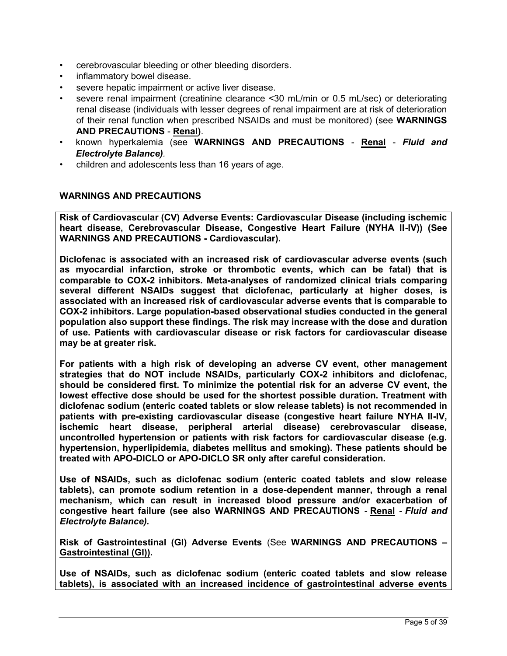- cerebrovascular bleeding or other bleeding disorders.
- inflammatory bowel disease.
- severe hepatic impairment or active liver disease.
- severe renal impairment (creatinine clearance <30 mL/min or 0.5 mL/sec) or deteriorating renal disease (individuals with lesser degrees of renal impairment are at risk of deterioration of their renal function when prescribed NSAIDs and must be monitored) (see **WARNINGS AND PRECAUTIONS** - **Renal)**.
- known hyperkalemia (see **WARNINGS AND PRECAUTIONS Renal** *Fluid and Electrolyte Balance).*
- children and adolescents less than 16 years of age.

## <span id="page-4-0"></span>**WARNINGS AND PRECAUTIONS**

**Risk of Cardiovascular (CV) Adverse Events: Cardiovascular Disease (including ischemic heart disease, Cerebrovascular Disease, Congestive Heart Failure (NYHA II-IV)) (See WARNINGS AND PRECAUTIONS - Cardiovascular).**

**Diclofenac is associated with an increased risk of cardiovascular adverse events (such as myocardial infarction, stroke or thrombotic events, which can be fatal) that is comparable to COX-2 inhibitors. Meta-analyses of randomized clinical trials comparing several different NSAIDs suggest that diclofenac, particularly at higher doses, is associated with an increased risk of cardiovascular adverse events that is comparable to COX-2 inhibitors. Large population-based observational studies conducted in the general population also support these findings. The risk may increase with the dose and duration of use. Patients with cardiovascular disease or risk factors for cardiovascular disease may be at greater risk.**

**For patients with a high risk of developing an adverse CV event, other management strategies that do NOT include NSAIDs, particularly COX-2 inhibitors and diclofenac, should be considered first. To minimize the potential risk for an adverse CV event, the lowest effective dose should be used for the shortest possible duration. Treatment with diclofenac sodium (enteric coated tablets or slow release tablets) is not recommended in patients with pre-existing cardiovascular disease (congestive heart failure NYHA II-IV, ischemic heart disease, peripheral arterial disease) cerebrovascular disease, uncontrolled hypertension or patients with risk factors for cardiovascular disease (e.g. hypertension, hyperlipidemia, diabetes mellitus and smoking). These patients should be treated with APO-DICLO or APO-DICLO SR only after careful consideration.**

**Use of NSAIDs, such as diclofenac sodium (enteric coated tablets and slow release tablets), can promote sodium retention in a dose-dependent manner, through a renal mechanism, which can result in increased blood pressure and/or exacerbation of congestive heart failure (see also WARNINGS AND PRECAUTIONS** - **Renal** - *Fluid and Electrolyte Balance).*

**Risk of Gastrointestinal (GI) Adverse Events** (See **WARNINGS AND PRECAUTIONS – Gastrointestinal (GI)).**

**Use of NSAIDs, such as diclofenac sodium (enteric coated tablets and slow release tablets), is associated with an increased incidence of gastrointestinal adverse events**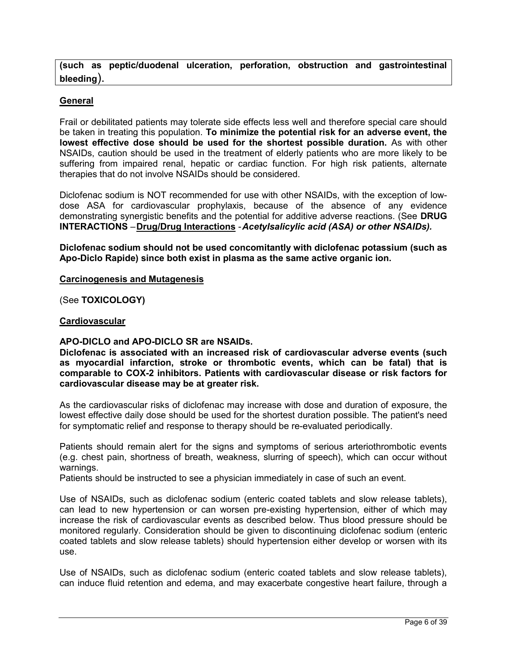**(such as peptic/duodenal ulceration, perforation, obstruction and gastrointestinal bleeding**).

## **General**

Frail or debilitated patients may tolerate side effects less well and therefore special care should be taken in treating this population. **To minimize the potential risk for an adverse event, the lowest effective dose should be used for the shortest possible duration.** As with other NSAIDs, caution should be used in the treatment of elderly patients who are more likely to be suffering from impaired renal, hepatic or cardiac function. For high risk patients, alternate therapies that do not involve NSAIDs should be considered.

Diclofenac sodium is NOT recommended for use with other NSAIDs, with the exception of lowdose ASA for cardiovascular prophylaxis, because of the absence of any evidence demonstrating synergistic benefits and the potential for additive adverse reactions. (See **DRUG INTERACTIONS** –**Drug/Drug Interactions** -*Acetylsalicylic acid (ASA) or other NSAIDs).*

**Diclofenac sodium should not be used concomitantly with diclofenac potassium (such as Apo-Diclo Rapide) since both exist in plasma as the same active organic ion.**

### **Carcinogenesis and Mutagenesis**

(See **TOXICOLOGY)**

## **Cardiovascular**

## **APO-DICLO and APO-DICLO SR are NSAIDs.**

**Diclofenac is associated with an increased risk of cardiovascular adverse events (such as myocardial infarction, stroke or thrombotic events, which can be fatal) that is comparable to COX-2 inhibitors. Patients with cardiovascular disease or risk factors for cardiovascular disease may be at greater risk.**

As the cardiovascular risks of diclofenac may increase with dose and duration of exposure, the lowest effective daily dose should be used for the shortest duration possible. The patient's need for symptomatic relief and response to therapy should be re-evaluated periodically.

Patients should remain alert for the signs and symptoms of serious arteriothrombotic events (e.g. chest pain, shortness of breath, weakness, slurring of speech), which can occur without warnings.

Patients should be instructed to see a physician immediately in case of such an event.

Use of NSAIDs, such as diclofenac sodium (enteric coated tablets and slow release tablets), can lead to new hypertension or can worsen pre-existing hypertension, either of which may increase the risk of cardiovascular events as described below. Thus blood pressure should be monitored regularly. Consideration should be given to discontinuing diclofenac sodium (enteric coated tablets and slow release tablets) should hypertension either develop or worsen with its use.

Use of NSAIDs, such as diclofenac sodium (enteric coated tablets and slow release tablets), can induce fluid retention and edema, and may exacerbate congestive heart failure, through a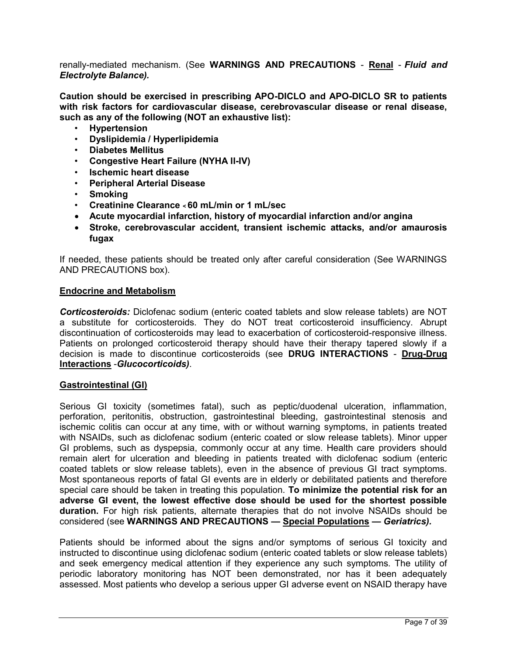renally-mediated mechanism. (See **WARNINGS AND PRECAUTIONS** - **Renal** - *Fluid and Electrolyte Balance).*

**Caution should be exercised in prescribing APO-DICLO and APO-DICLO SR to patients with risk factors for cardiovascular disease, cerebrovascular disease or renal disease, such as any of the following (NOT an exhaustive list):**

- **Hypertension**
- **Dyslipidemia / Hyperlipidemia**
- **Diabetes Mellitus**
- **Congestive Heart Failure (NYHA II-IV)**
- **Ischemic heart disease**
- **Peripheral Arterial Disease**
- **Smoking**
- **Creatinine Clearance < 60 mL/min or 1 mL/sec**
- **Acute myocardial infarction, history of myocardial infarction and/or angina**
- **Stroke, cerebrovascular accident, transient ischemic attacks, and/or amaurosis fugax**

If needed, these patients should be treated only after careful consideration (See WARNINGS AND PRECAUTIONS box).

### **Endocrine and Metabolism**

*Corticosteroids:* Diclofenac sodium (enteric coated tablets and slow release tablets) are NOT a substitute for corticosteroids. They do NOT treat corticosteroid insufficiency. Abrupt discontinuation of corticosteroids may lead to exacerbation of corticosteroid-responsive illness. Patients on prolonged corticosteroid therapy should have their therapy tapered slowly if a decision is made to discontinue corticosteroids (see **DRUG INTERACTIONS** - **Drug-Drug Interactions** -*Glucocorticoids)*.

### **Gastrointestinal (GI)**

Serious GI toxicity (sometimes fatal), such as peptic/duodenal ulceration, inflammation, perforation, peritonitis, obstruction, gastrointestinal bleeding, gastrointestinal stenosis and ischemic colitis can occur at any time, with or without warning symptoms, in patients treated with NSAIDs, such as diclofenac sodium (enteric coated or slow release tablets). Minor upper GI problems, such as dyspepsia, commonly occur at any time. Health care providers should remain alert for ulceration and bleeding in patients treated with diclofenac sodium (enteric coated tablets or slow release tablets), even in the absence of previous GI tract symptoms. Most spontaneous reports of fatal GI events are in elderly or debilitated patients and therefore special care should be taken in treating this population. **To minimize the potential risk for an adverse GI event, the lowest effective dose should be used for the shortest possible duration.** For high risk patients, alternate therapies that do not involve NSAIDs should be considered (see **WARNINGS AND PRECAUTIONS — Special Populations —** *Geriatrics).*

Patients should be informed about the signs and/or symptoms of serious GI toxicity and instructed to discontinue using diclofenac sodium (enteric coated tablets or slow release tablets) and seek emergency medical attention if they experience any such symptoms. The utility of periodic laboratory monitoring has NOT been demonstrated, nor has it been adequately assessed. Most patients who develop a serious upper GI adverse event on NSAID therapy have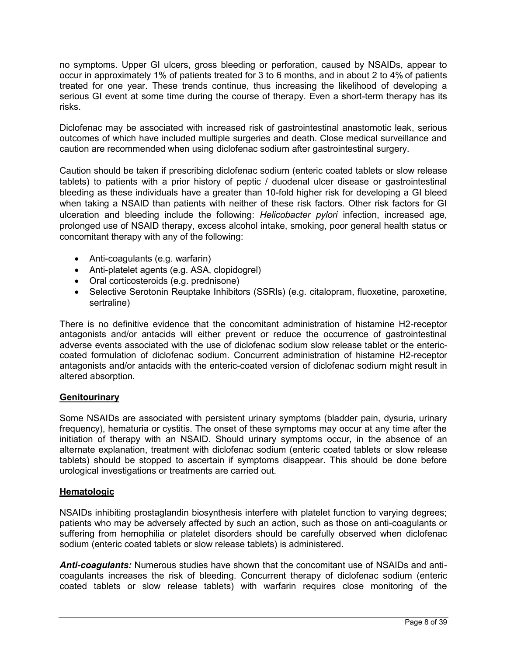no symptoms. Upper GI ulcers, gross bleeding or perforation, caused by NSAIDs, appear to occur in approximately 1% of patients treated for 3 to 6 months, and in about 2 to 4% of patients treated for one year. These trends continue, thus increasing the likelihood of developing a serious GI event at some time during the course of therapy. Even a short-term therapy has its risks.

Diclofenac may be associated with increased risk of gastrointestinal anastomotic leak, serious outcomes of which have included multiple surgeries and death. Close medical surveillance and caution are recommended when using diclofenac sodium after gastrointestinal surgery.

Caution should be taken if prescribing diclofenac sodium (enteric coated tablets or slow release tablets) to patients with a prior history of peptic / duodenal ulcer disease or gastrointestinal bleeding as these individuals have a greater than 10-fold higher risk for developing a GI bleed when taking a NSAID than patients with neither of these risk factors. Other risk factors for GI ulceration and bleeding include the following: *Helicobacter pylori* infection, increased age, prolonged use of NSAID therapy, excess alcohol intake, smoking, poor general health status or concomitant therapy with any of the following:

- Anti-coagulants (e.g. warfarin)
- Anti-platelet agents (e.g. ASA, clopidogrel)
- Oral corticosteroids (e.g. prednisone)
- Selective Serotonin Reuptake Inhibitors (SSRIs) (e.g. citalopram, fluoxetine, paroxetine, sertraline)

There is no definitive evidence that the concomitant administration of histamine H2-receptor antagonists and/or antacids will either prevent or reduce the occurrence of gastrointestinal adverse events associated with the use of diclofenac sodium slow release tablet or the entericcoated formulation of diclofenac sodium. Concurrent administration of histamine H2-receptor antagonists and/or antacids with the enteric-coated version of diclofenac sodium might result in altered absorption.

## **Genitourinary**

Some NSAIDs are associated with persistent urinary symptoms (bladder pain, dysuria, urinary frequency), hematuria or cystitis. The onset of these symptoms may occur at any time after the initiation of therapy with an NSAID. Should urinary symptoms occur, in the absence of an alternate explanation, treatment with diclofenac sodium (enteric coated tablets or slow release tablets) should be stopped to ascertain if symptoms disappear. This should be done before urological investigations or treatments are carried out.

## **Hematologic**

NSAIDs inhibiting prostaglandin biosynthesis interfere with platelet function to varying degrees; patients who may be adversely affected by such an action, such as those on anti-coagulants or suffering from hemophilia or platelet disorders should be carefully observed when diclofenac sodium (enteric coated tablets or slow release tablets) is administered.

*Anti-coagulants:* Numerous studies have shown that the concomitant use of NSAIDs and anticoagulants increases the risk of bleeding. Concurrent therapy of diclofenac sodium (enteric coated tablets or slow release tablets) with warfarin requires close monitoring of the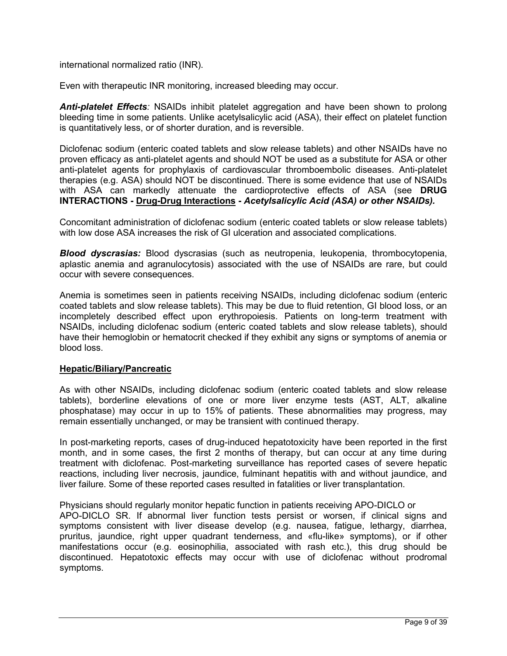international normalized ratio (INR).

Even with therapeutic INR monitoring, increased bleeding may occur.

*Anti-platelet Effects:* NSAIDs inhibit platelet aggregation and have been shown to prolong bleeding time in some patients. Unlike acetylsalicylic acid (ASA), their effect on platelet function is quantitatively less, or of shorter duration, and is reversible.

Diclofenac sodium (enteric coated tablets and slow release tablets) and other NSAIDs have no proven efficacy as anti-platelet agents and should NOT be used as a substitute for ASA or other anti-platelet agents for prophylaxis of cardiovascular thromboembolic diseases. Anti-platelet therapies (e.g. ASA) should NOT be discontinued. There is some evidence that use of NSAIDs with ASA can markedly attenuate the cardioprotective effects of ASA (see **DRUG INTERACTIONS - Drug-Drug Interactions -** *Acetylsalicylic Acid (ASA) or other NSAIDs).*

Concomitant administration of diclofenac sodium (enteric coated tablets or slow release tablets) with low dose ASA increases the risk of GI ulceration and associated complications.

*Blood dyscrasias:* Blood dyscrasias (such as neutropenia, leukopenia, thrombocytopenia, aplastic anemia and agranulocytosis) associated with the use of NSAIDs are rare, but could occur with severe consequences.

Anemia is sometimes seen in patients receiving NSAIDs, including diclofenac sodium (enteric coated tablets and slow release tablets). This may be due to fluid retention, GI blood loss, or an incompletely described effect upon erythropoiesis. Patients on long-term treatment with NSAIDs, including diclofenac sodium (enteric coated tablets and slow release tablets), should have their hemoglobin or hematocrit checked if they exhibit any signs or symptoms of anemia or blood loss.

## **Hepatic/Biliary/Pancreatic**

As with other NSAIDs, including diclofenac sodium (enteric coated tablets and slow release tablets), borderline elevations of one or more liver enzyme tests (AST, ALT, alkaline phosphatase) may occur in up to 15% of patients. These abnormalities may progress, may remain essentially unchanged, or may be transient with continued therapy.

In post-marketing reports, cases of drug-induced hepatotoxicity have been reported in the first month, and in some cases, the first 2 months of therapy, but can occur at any time during treatment with diclofenac. Post-marketing surveillance has reported cases of severe hepatic reactions, including liver necrosis, jaundice, fulminant hepatitis with and without jaundice, and liver failure. Some of these reported cases resulted in fatalities or liver transplantation.

Physicians should regularly monitor hepatic function in patients receiving APO-DICLO or APO-DICLO SR. If abnormal liver function tests persist or worsen, if clinical signs and symptoms consistent with liver disease develop (e.g. nausea, fatigue, lethargy, diarrhea, pruritus, jaundice, right upper quadrant tenderness, and «flu-like» symptoms), or if other manifestations occur (e.g. eosinophilia, associated with rash etc.), this drug should be discontinued. Hepatotoxic effects may occur with use of diclofenac without prodromal symptoms.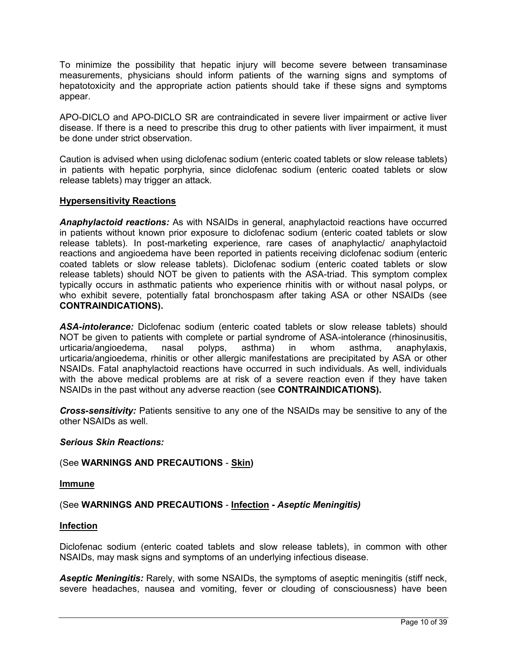To minimize the possibility that hepatic injury will become severe between transaminase measurements, physicians should inform patients of the warning signs and symptoms of hepatotoxicity and the appropriate action patients should take if these signs and symptoms appear.

APO-DICLO and APO-DICLO SR are contraindicated in severe liver impairment or active liver disease. If there is a need to prescribe this drug to other patients with liver impairment, it must be done under strict observation.

Caution is advised when using diclofenac sodium (enteric coated tablets or slow release tablets) in patients with hepatic porphyria, since diclofenac sodium (enteric coated tablets or slow release tablets) may trigger an attack.

## **Hypersensitivity Reactions**

*Anaphylactoid reactions:* As with NSAIDs in general, anaphylactoid reactions have occurred in patients without known prior exposure to diclofenac sodium (enteric coated tablets or slow release tablets). In post-marketing experience, rare cases of anaphylactic/ anaphylactoid reactions and angioedema have been reported in patients receiving diclofenac sodium (enteric coated tablets or slow release tablets). Diclofenac sodium (enteric coated tablets or slow release tablets) should NOT be given to patients with the ASA-triad. This symptom complex typically occurs in asthmatic patients who experience rhinitis with or without nasal polyps, or who exhibit severe, potentially fatal bronchospasm after taking ASA or other NSAIDs (see **CONTRAINDICATIONS).**

*ASA-intolerance:* Diclofenac sodium (enteric coated tablets or slow release tablets) should NOT be given to patients with complete or partial syndrome of ASA-intolerance (rhinosinusitis, urticaria/angioedema, nasal polyps, asthma) in whom asthma, anaphylaxis, urticaria/angioedema, rhinitis or other allergic manifestations are precipitated by ASA or other NSAIDs. Fatal anaphylactoid reactions have occurred in such individuals. As well, individuals with the above medical problems are at risk of a severe reaction even if they have taken NSAIDs in the past without any adverse reaction (see **CONTRAINDICATIONS).**

*Cross-sensitivity:* Patients sensitive to any one of the NSAIDs may be sensitive to any of the other NSAIDs as well.

### *Serious Skin Reactions:*

### (See **WARNINGS AND PRECAUTIONS** - **Skin)**

**Immune**

### (See **WARNINGS AND PRECAUTIONS** - **Infection -** *Aseptic Meningitis)*

### **Infection**

Diclofenac sodium (enteric coated tablets and slow release tablets), in common with other NSAIDs, may mask signs and symptoms of an underlying infectious disease.

*Aseptic Meningitis:* Rarely, with some NSAIDs, the symptoms of aseptic meningitis (stiff neck, severe headaches, nausea and vomiting, fever or clouding of consciousness) have been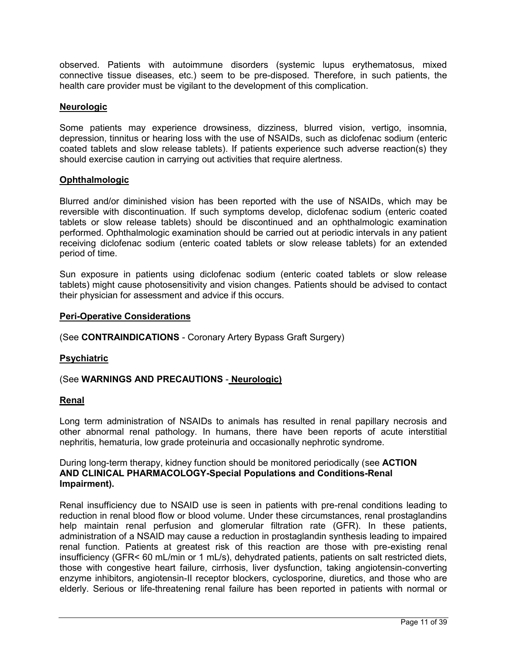observed. Patients with autoimmune disorders (systemic lupus erythematosus, mixed connective tissue diseases, etc.) seem to be pre-disposed. Therefore, in such patients, the health care provider must be vigilant to the development of this complication.

## **Neurologic**

Some patients may experience drowsiness, dizziness, blurred vision, vertigo, insomnia, depression, tinnitus or hearing loss with the use of NSAIDs, such as diclofenac sodium (enteric coated tablets and slow release tablets). If patients experience such adverse reaction(s) they should exercise caution in carrying out activities that require alertness.

## **Ophthalmologic**

Blurred and/or diminished vision has been reported with the use of NSAIDs, which may be reversible with discontinuation. If such symptoms develop, diclofenac sodium (enteric coated tablets or slow release tablets) should be discontinued and an ophthalmologic examination performed. Ophthalmologic examination should be carried out at periodic intervals in any patient receiving diclofenac sodium (enteric coated tablets or slow release tablets) for an extended period of time.

Sun exposure in patients using diclofenac sodium (enteric coated tablets or slow release tablets) might cause photosensitivity and vision changes. Patients should be advised to contact their physician for assessment and advice if this occurs.

### **Peri-Operative Considerations**

(See **CONTRAINDICATIONS** - Coronary Artery Bypass Graft Surgery)

### **Psychiatric**

## (See **WARNINGS AND PRECAUTIONS** - **Neurologic)**

### **Renal**

Long term administration of NSAIDs to animals has resulted in renal papillary necrosis and other abnormal renal pathology. In humans, there have been reports of acute interstitial nephritis, hematuria, low grade proteinuria and occasionally nephrotic syndrome.

## During long-term therapy, kidney function should be monitored periodically (see **ACTION AND CLINICAL PHARMACOLOGY-Special Populations and Conditions-Renal Impairment).**

Renal insufficiency due to NSAID use is seen in patients with pre-renal conditions leading to reduction in renal blood flow or blood volume. Under these circumstances, renal prostaglandins help maintain renal perfusion and glomerular filtration rate (GFR). In these patients, administration of a NSAID may cause a reduction in prostaglandin synthesis leading to impaired renal function. Patients at greatest risk of this reaction are those with pre-existing renal insufficiency (GFR< 60 mL/min or 1 mL/s), dehydrated patients, patients on salt restricted diets, those with congestive heart failure, cirrhosis, liver dysfunction, taking angiotensin-converting enzyme inhibitors, angiotensin-II receptor blockers, cyclosporine, diuretics, and those who are elderly. Serious or life-threatening renal failure has been reported in patients with normal or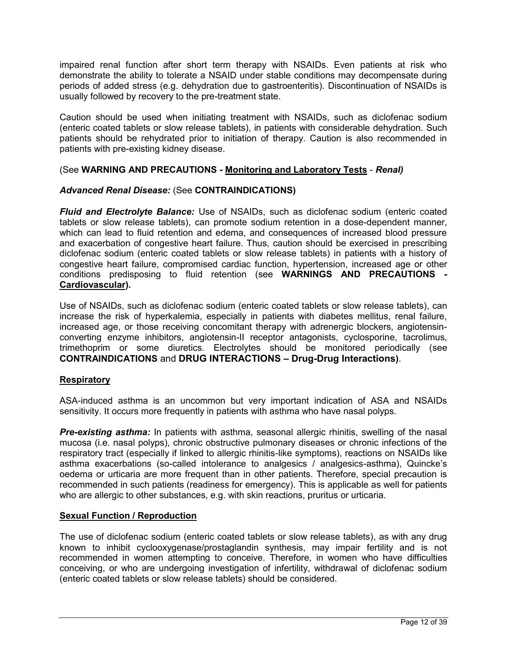impaired renal function after short term therapy with NSAIDs. Even patients at risk who demonstrate the ability to tolerate a NSAID under stable conditions may decompensate during periods of added stress (e.g. dehydration due to gastroenteritis). Discontinuation of NSAIDs is usually followed by recovery to the pre-treatment state.

Caution should be used when initiating treatment with NSAIDs, such as diclofenac sodium (enteric coated tablets or slow release tablets), in patients with considerable dehydration. Such patients should be rehydrated prior to initiation of therapy. Caution is also recommended in patients with pre-existing kidney disease.

## (See **WARNING AND PRECAUTIONS - Monitoring and Laboratory Tests** - *Renal)*

## *Advanced Renal Disease:* (See **CONTRAINDICATIONS)**

*Fluid and Electrolyte Balance:* Use of NSAIDs, such as diclofenac sodium (enteric coated tablets or slow release tablets), can promote sodium retention in a dose-dependent manner, which can lead to fluid retention and edema, and consequences of increased blood pressure and exacerbation of congestive heart failure. Thus, caution should be exercised in prescribing diclofenac sodium (enteric coated tablets or slow release tablets) in patients with a history of congestive heart failure, compromised cardiac function, hypertension, increased age or other conditions predisposing to fluid retention (see **WARNINGS AND PRECAUTIONS - Cardiovascular).**

Use of NSAIDs, such as diclofenac sodium (enteric coated tablets or slow release tablets), can increase the risk of hyperkalemia, especially in patients with diabetes mellitus, renal failure, increased age, or those receiving concomitant therapy with adrenergic blockers, angiotensinconverting enzyme inhibitors, angiotensin-II receptor antagonists, cyclosporine, tacrolimus, trimethoprim or some diuretics. Electrolytes should be monitored periodically (see **CONTRAINDICATIONS** and **DRUG INTERACTIONS – Drug-Drug Interactions)**.

## **Respiratory**

ASA-induced asthma is an uncommon but very important indication of ASA and NSAIDs sensitivity. It occurs more frequently in patients with asthma who have nasal polyps.

**Pre-existing asthma:** In patients with asthma, seasonal allergic rhinitis, swelling of the nasal mucosa (i.e. nasal polyps), chronic obstructive pulmonary diseases or chronic infections of the respiratory tract (especially if linked to allergic rhinitis-like symptoms), reactions on NSAIDs like asthma exacerbations (so-called intolerance to analgesics / analgesics-asthma), Quincke's oedema or urticaria are more frequent than in other patients. Therefore, special precaution is recommended in such patients (readiness for emergency). This is applicable as well for patients who are allergic to other substances, e.g. with skin reactions, pruritus or urticaria.

## **Sexual Function / Reproduction**

The use of diclofenac sodium (enteric coated tablets or slow release tablets), as with any drug known to inhibit cyclooxygenase/prostaglandin synthesis, may impair fertility and is not recommended in women attempting to conceive. Therefore, in women who have difficulties conceiving, or who are undergoing investigation of infertility, withdrawal of diclofenac sodium (enteric coated tablets or slow release tablets) should be considered.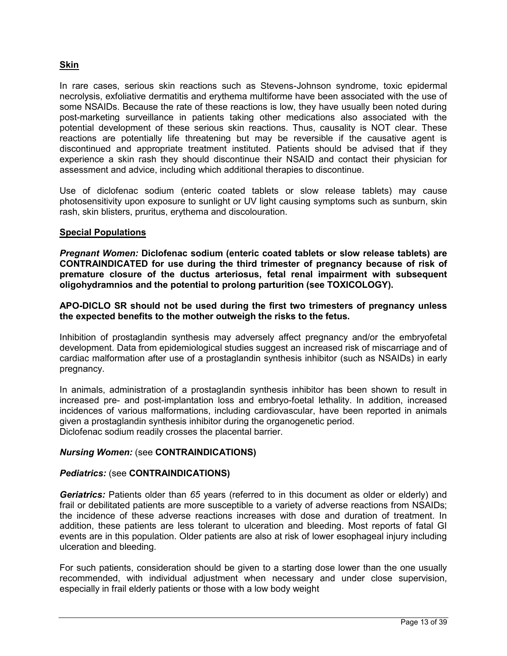## **Skin**

In rare cases, serious skin reactions such as Stevens-Johnson syndrome, toxic epidermal necrolysis, exfoliative dermatitis and erythema multiforme have been associated with the use of some NSAIDs. Because the rate of these reactions is low, they have usually been noted during post-marketing surveillance in patients taking other medications also associated with the potential development of these serious skin reactions. Thus, causality is NOT clear. These reactions are potentially life threatening but may be reversible if the causative agent is discontinued and appropriate treatment instituted. Patients should be advised that if they experience a skin rash they should discontinue their NSAID and contact their physician for assessment and advice, including which additional therapies to discontinue.

Use of diclofenac sodium (enteric coated tablets or slow release tablets) may cause photosensitivity upon exposure to sunlight or UV light causing symptoms such as sunburn, skin rash, skin blisters, pruritus, erythema and discolouration.

## **Special Populations**

*Pregnant Women:* **Diclofenac sodium (enteric coated tablets or slow release tablets) are CONTRAINDICATED for use during the third trimester of pregnancy because of risk of premature closure of the ductus arteriosus, fetal renal impairment with subsequent oligohydramnios and the potential to prolong parturition (see TOXICOLOGY).**

## **APO-DICLO SR should not be used during the first two trimesters of pregnancy unless the expected benefits to the mother outweigh the risks to the fetus.**

Inhibition of prostaglandin synthesis may adversely affect pregnancy and/or the embryofetal development. Data from epidemiological studies suggest an increased risk of miscarriage and of cardiac malformation after use of a prostaglandin synthesis inhibitor (such as NSAIDs) in early pregnancy.

In animals, administration of a prostaglandin synthesis inhibitor has been shown to result in increased pre- and post-implantation loss and embryo-foetal lethality. In addition, increased incidences of various malformations, including cardiovascular, have been reported in animals given a prostaglandin synthesis inhibitor during the organogenetic period. Diclofenac sodium readily crosses the placental barrier.

## *Nursing Women:* (see **CONTRAINDICATIONS)**

### *Pediatrics:* (see **CONTRAINDICATIONS)**

*Geriatrics:* Patients older than *65* years (referred to in this document as older or elderly) and frail or debilitated patients are more susceptible to a variety of adverse reactions from NSAIDs; the incidence of these adverse reactions increases with dose and duration of treatment. In addition, these patients are less tolerant to ulceration and bleeding. Most reports of fatal GI events are in this population. Older patients are also at risk of lower esophageal injury including ulceration and bleeding.

For such patients, consideration should be given to a starting dose lower than the one usually recommended, with individual adjustment when necessary and under close supervision, especially in frail elderly patients or those with a low body weight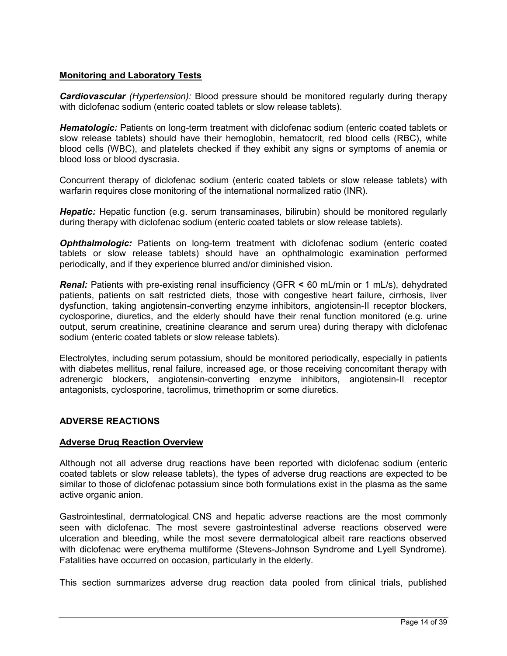## **Monitoring and Laboratory Tests**

*Cardiovascular (Hypertension):* Blood pressure should be monitored regularly during therapy with diclofenac sodium (enteric coated tablets or slow release tablets).

**Hematologic:** Patients on long-term treatment with diclofenac sodium (enteric coated tablets or slow release tablets) should have their hemoglobin, hematocrit, red blood cells (RBC), white blood cells (WBC), and platelets checked if they exhibit any signs or symptoms of anemia or blood loss or blood dyscrasia.

Concurrent therapy of diclofenac sodium (enteric coated tablets or slow release tablets) with warfarin requires close monitoring of the international normalized ratio (INR).

**Hepatic:** Hepatic function (e.g. serum transaminases, bilirubin) should be monitored regularly during therapy with diclofenac sodium (enteric coated tablets or slow release tablets).

*Ophthalmologic:* Patients on long-term treatment with diclofenac sodium (enteric coated tablets or slow release tablets) should have an ophthalmologic examination performed periodically, and if they experience blurred and/or diminished vision.

*Renal:* Patients with pre-existing renal insufficiency (GFR **<** 60 mL/min or 1 mL/s), dehydrated patients, patients on salt restricted diets, those with congestive heart failure, cirrhosis, liver dysfunction, taking angiotensin-converting enzyme inhibitors, angiotensin-II receptor blockers, cyclosporine, diuretics, and the elderly should have their renal function monitored (e.g. urine output, serum creatinine, creatinine clearance and serum urea) during therapy with diclofenac sodium (enteric coated tablets or slow release tablets).

Electrolytes, including serum potassium, should be monitored periodically, especially in patients with diabetes mellitus, renal failure, increased age, or those receiving concomitant therapy with adrenergic blockers, angiotensin-converting enzyme inhibitors, angiotensin-II receptor antagonists, cyclosporine, tacrolimus, trimethoprim or some diuretics.

## <span id="page-13-0"></span>**ADVERSE REACTIONS**

### **Adverse Drug Reaction Overview**

Although not all adverse drug reactions have been reported with diclofenac sodium (enteric coated tablets or slow release tablets), the types of adverse drug reactions are expected to be similar to those of diclofenac potassium since both formulations exist in the plasma as the same active organic anion.

Gastrointestinal, dermatological, CNS and hepatic adverse reactions are the most commonly seen with diclofenac. The most severe gastrointestinal adverse reactions observed were ulceration and bleeding, while the most severe dermatological albeit rare reactions observed with diclofenac were erythema multiforme (Stevens-Johnson Syndrome and Lyell Syndrome). Fatalities have occurred on occasion, particularly in the elderly.

This section summarizes adverse drug reaction data pooled from clinical trials, published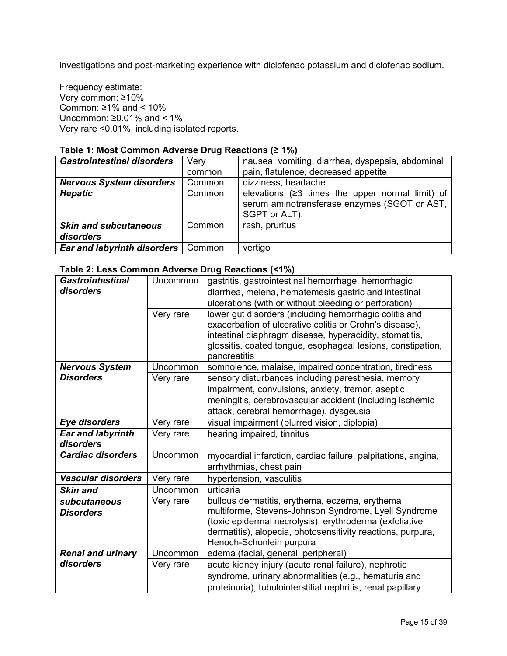investigations and post-marketing experience with diclofenac potassium and diclofenac sodium.

Frequency estimate: Very common: ≥10% Common:  $\geq 1\%$  and <  $10\%$ Uncommon:  $≥0.01%$  and < 1% Very rare <0.01%, including isolated reports.

## **Table 1: Most Common Adverse Drug Reactions (≥ 1%)**

| <b>Gastrointestinal disorders</b>         | Very<br>common | nausea, vomiting, diarrhea, dyspepsia, abdominal<br>pain, flatulence, decreased appetite                                     |
|-------------------------------------------|----------------|------------------------------------------------------------------------------------------------------------------------------|
| <b>Nervous System disorders</b>           | Common         | dizziness, headache                                                                                                          |
| <b>Hepatic</b>                            | Common         | elevations $(23 \times 3)$ times the upper normal limit) of<br>serum aminotransferase enzymes (SGOT or AST,<br>SGPT or ALT). |
| <b>Skin and subcutaneous</b><br>disorders | Common         | rash, pruritus                                                                                                               |
| Ear and labyrinth disorders               | Common         | vertigo                                                                                                                      |

## **Table 2: Less Common Adverse Drug Reactions (<1%)**

| <b>Gastrointestinal</b>   | Uncommon  | gastritis, gastrointestinal hemorrhage, hemorrhagic           |
|---------------------------|-----------|---------------------------------------------------------------|
| disorders                 |           | diarrhea, melena, hematemesis gastric and intestinal          |
|                           |           | ulcerations (with or without bleeding or perforation)         |
|                           | Very rare | lower gut disorders (including hemorrhagic colitis and        |
|                           |           | exacerbation of ulcerative colitis or Crohn's disease),       |
|                           |           | intestinal diaphragm disease, hyperacidity, stomatitis,       |
|                           |           | glossitis, coated tongue, esophageal lesions, constipation,   |
|                           |           | pancreatitis                                                  |
| <b>Nervous System</b>     | Uncommon  | somnolence, malaise, impaired concentration, tiredness        |
| Disorders                 | Very rare | sensory disturbances including paresthesia, memory            |
|                           |           | impairment, convulsions, anxiety, tremor, aseptic             |
|                           |           | meningitis, cerebrovascular accident (including ischemic      |
|                           |           | attack, cerebral hemorrhage), dysgeusia                       |
| Eye disorders             | Very rare | visual impairment (blurred vision, diplopia)                  |
| <b>Ear and labyrinth</b>  | Very rare | hearing impaired, tinnitus                                    |
| disorders                 |           |                                                               |
| <b>Cardiac disorders</b>  | Uncommon  | myocardial infarction, cardiac failure, palpitations, angina, |
|                           |           | arrhythmias, chest pain                                       |
| <b>Vascular disorders</b> | Very rare | hypertension, vasculitis                                      |
| <b>Skin and</b>           | Uncommon  | urticaria                                                     |
| subcutaneous              | Very rare | bullous dermatitis, erythema, eczema, erythema                |
| <b>Disorders</b>          |           | multiforme, Stevens-Johnson Syndrome, Lyell Syndrome          |
|                           |           | (toxic epidermal necrolysis), erythroderma (exfoliative       |
|                           |           | dermatitis), alopecia, photosensitivity reactions, purpura,   |
|                           |           | Henoch-Schonlein purpura                                      |
| <b>Renal and urinary</b>  | Uncommon  | edema (facial, general, peripheral)                           |
| disorders                 | Very rare | acute kidney injury (acute renal failure), nephrotic          |
|                           |           | syndrome, urinary abnormalities (e.g., hematuria and          |
|                           |           | proteinuria), tubulointerstitial nephritis, renal papillary   |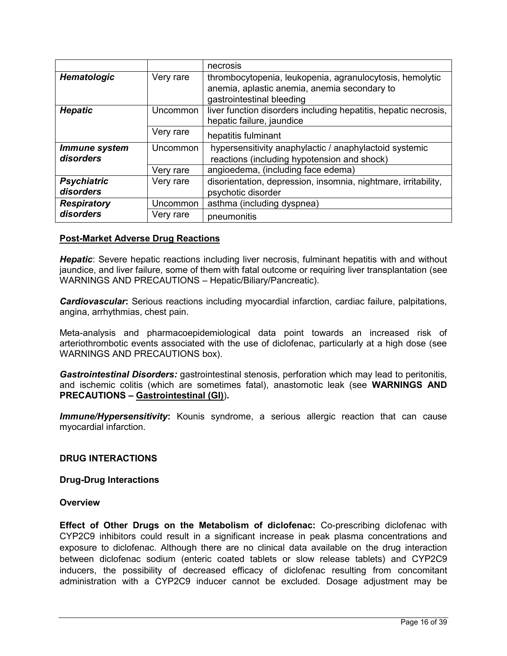|                                 |           | necrosis                                                                                                                              |
|---------------------------------|-----------|---------------------------------------------------------------------------------------------------------------------------------------|
| <b>Hematologic</b>              | Very rare | thrombocytopenia, leukopenia, agranulocytosis, hemolytic<br>anemia, aplastic anemia, anemia secondary to<br>gastrointestinal bleeding |
| <b>Hepatic</b>                  | Uncommon  | liver function disorders including hepatitis, hepatic necrosis,<br>hepatic failure, jaundice                                          |
|                                 | Very rare | hepatitis fulminant                                                                                                                   |
| Immune system<br>disorders      | Uncommon  | hypersensitivity anaphylactic / anaphylactoid systemic<br>reactions (including hypotension and shock)                                 |
|                                 | Very rare | angioedema, (including face edema)                                                                                                    |
| <b>Psychiatric</b><br>disorders | Very rare | disorientation, depression, insomnia, nightmare, irritability,<br>psychotic disorder                                                  |
| <b>Respiratory</b>              | Uncommon  | asthma (including dyspnea)                                                                                                            |
| disorders                       | Very rare | pneumonitis                                                                                                                           |

## **Post-Market Adverse Drug Reactions**

*Hepatic*: Severe hepatic reactions including liver necrosis, fulminant hepatitis with and without jaundice, and liver failure, some of them with fatal outcome or requiring liver transplantation (see WARNINGS AND PRECAUTIONS – Hepatic/Biliary/Pancreatic).

*Cardiovascular***:** Serious reactions including myocardial infarction, cardiac failure, palpitations, angina, arrhythmias, chest pain.

Meta-analysis and pharmacoepidemiological data point towards an increased risk of arteriothrombotic events associated with the use of diclofenac, particularly at a high dose (see WARNINGS AND PRECAUTIONS box).

*Gastrointestinal Disorders:* gastrointestinal stenosis, perforation which may lead to peritonitis, and ischemic colitis (which are sometimes fatal), anastomotic leak (see **WARNINGS AND PRECAUTIONS – Gastrointestinal (GI)**)**.**

**Immune/Hypersensitivity:** Kounis syndrome, a serious allergic reaction that can cause myocardial infarction.

### <span id="page-15-0"></span>**DRUG INTERACTIONS**

**Drug-Drug Interactions**

### **Overview**

**Effect of Other Drugs on the Metabolism of diclofenac:** Co-prescribing diclofenac with CYP2C9 inhibitors could result in a significant increase in peak plasma concentrations and exposure to diclofenac. Although there are no clinical data available on the drug interaction between diclofenac sodium (enteric coated tablets or slow release tablets) and CYP2C9 inducers, the possibility of decreased efficacy of diclofenac resulting from concomitant administration with a CYP2C9 inducer cannot be excluded. Dosage adjustment may be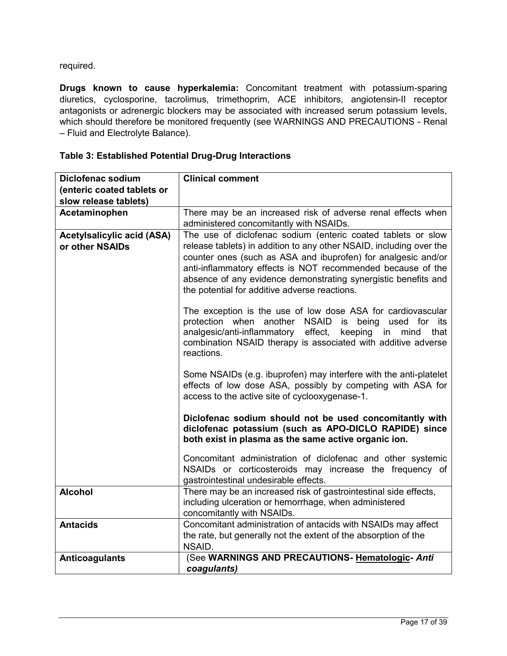required.

**Drugs known to cause hyperkalemia:** Concomitant treatment with potassium-sparing diuretics, cyclosporine, tacrolimus, trimethoprim, ACE inhibitors, angiotensin-II receptor antagonists or adrenergic blockers may be associated with increased serum potassium levels, which should therefore be monitored frequently (see WARNINGS AND PRECAUTIONS - Renal – Fluid and Electrolyte Balance).

| Diclofenac sodium                                    | <b>Clinical comment</b>                                                                                                                                                                                                                                                                                                                                                                |
|------------------------------------------------------|----------------------------------------------------------------------------------------------------------------------------------------------------------------------------------------------------------------------------------------------------------------------------------------------------------------------------------------------------------------------------------------|
| (enteric coated tablets or                           |                                                                                                                                                                                                                                                                                                                                                                                        |
| slow release tablets)                                |                                                                                                                                                                                                                                                                                                                                                                                        |
| Acetaminophen                                        | There may be an increased risk of adverse renal effects when                                                                                                                                                                                                                                                                                                                           |
|                                                      | administered concomitantly with NSAIDs.                                                                                                                                                                                                                                                                                                                                                |
| <b>Acetylsalicylic acid (ASA)</b><br>or other NSAIDs | The use of diclofenac sodium (enteric coated tablets or slow<br>release tablets) in addition to any other NSAID, including over the<br>counter ones (such as ASA and ibuprofen) for analgesic and/or<br>anti-inflammatory effects is NOT recommended because of the<br>absence of any evidence demonstrating synergistic benefits and<br>the potential for additive adverse reactions. |
|                                                      | The exception is the use of low dose ASA for cardiovascular<br>protection when another NSAID<br>is being<br>used for<br>its<br>analgesic/anti-inflammatory effect,<br>keeping<br>in<br>mind<br>that<br>combination NSAID therapy is associated with additive adverse<br>reactions.                                                                                                     |
|                                                      | Some NSAIDs (e.g. ibuprofen) may interfere with the anti-platelet<br>effects of low dose ASA, possibly by competing with ASA for<br>access to the active site of cyclooxygenase-1.                                                                                                                                                                                                     |
|                                                      | Diclofenac sodium should not be used concomitantly with<br>diclofenac potassium (such as APO-DICLO RAPIDE) since<br>both exist in plasma as the same active organic ion.                                                                                                                                                                                                               |
|                                                      | Concomitant administration of diclofenac and other systemic<br>NSAIDs or corticosteroids may increase the frequency of<br>gastrointestinal undesirable effects.                                                                                                                                                                                                                        |
| <b>Alcohol</b>                                       | There may be an increased risk of gastrointestinal side effects,<br>including ulceration or hemorrhage, when administered<br>concomitantly with NSAIDs.                                                                                                                                                                                                                                |
| <b>Antacids</b>                                      | Concomitant administration of antacids with NSAIDs may affect<br>the rate, but generally not the extent of the absorption of the<br>NSAID.                                                                                                                                                                                                                                             |
| <b>Anticoagulants</b>                                | (See WARNINGS AND PRECAUTIONS- Hematologic- Anti<br>coagulants)                                                                                                                                                                                                                                                                                                                        |

## **Table 3: Established Potential Drug-Drug Interactions**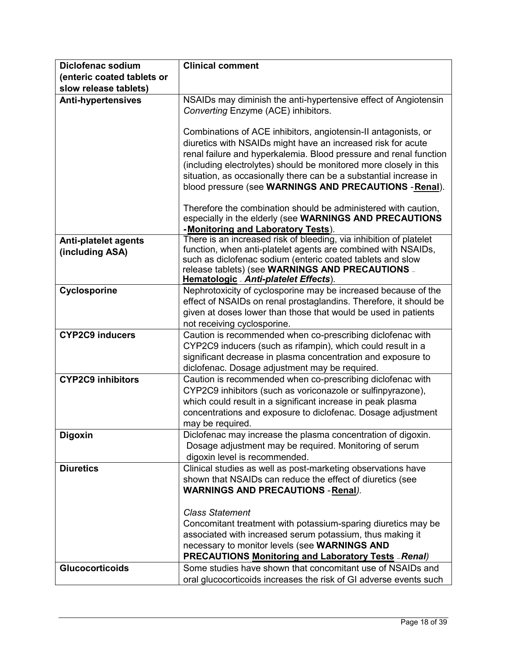| <b>Diclofenac sodium</b>    | <b>Clinical comment</b>                                                                                                           |
|-----------------------------|-----------------------------------------------------------------------------------------------------------------------------------|
| (enteric coated tablets or  |                                                                                                                                   |
| slow release tablets)       |                                                                                                                                   |
| <b>Anti-hypertensives</b>   | NSAIDs may diminish the anti-hypertensive effect of Angiotensin                                                                   |
|                             | Converting Enzyme (ACE) inhibitors.                                                                                               |
|                             |                                                                                                                                   |
|                             | Combinations of ACE inhibitors, angiotensin-II antagonists, or                                                                    |
|                             | diuretics with NSAIDs might have an increased risk for acute<br>renal failure and hyperkalemia. Blood pressure and renal function |
|                             | (including electrolytes) should be monitored more closely in this                                                                 |
|                             | situation, as occasionally there can be a substantial increase in                                                                 |
|                             | blood pressure (see WARNINGS AND PRECAUTIONS - Renal).                                                                            |
|                             | Therefore the combination should be administered with caution,                                                                    |
|                             | especially in the elderly (see WARNINGS AND PRECAUTIONS                                                                           |
|                             | -Monitoring and Laboratory Tests).                                                                                                |
| <b>Anti-platelet agents</b> | There is an increased risk of bleeding, via inhibition of platelet                                                                |
| (including ASA)             | function, when anti-platelet agents are combined with NSAIDs,                                                                     |
|                             | such as diclofenac sodium (enteric coated tablets and slow<br>release tablets) (see WARNINGS AND PRECAUTIONS _                    |
|                             | Hematologic - Anti-platelet Effects).                                                                                             |
| Cyclosporine                | Nephrotoxicity of cyclosporine may be increased because of the                                                                    |
|                             | effect of NSAIDs on renal prostaglandins. Therefore, it should be                                                                 |
|                             | given at doses lower than those that would be used in patients                                                                    |
|                             | not receiving cyclosporine.                                                                                                       |
| <b>CYP2C9 inducers</b>      | Caution is recommended when co-prescribing diclofenac with                                                                        |
|                             | CYP2C9 inducers (such as rifampin), which could result in a                                                                       |
|                             | significant decrease in plasma concentration and exposure to<br>diclofenac. Dosage adjustment may be required.                    |
| <b>CYP2C9 inhibitors</b>    | Caution is recommended when co-prescribing diclofenac with                                                                        |
|                             | CYP2C9 inhibitors (such as voriconazole or sulfinpyrazone),                                                                       |
|                             | which could result in a significant increase in peak plasma                                                                       |
|                             | concentrations and exposure to diclofenac. Dosage adjustment                                                                      |
|                             | may be required.                                                                                                                  |
| <b>Digoxin</b>              | Diclofenac may increase the plasma concentration of digoxin.                                                                      |
|                             | Dosage adjustment may be required. Monitoring of serum                                                                            |
|                             | digoxin level is recommended.                                                                                                     |
| <b>Diuretics</b>            | Clinical studies as well as post-marketing observations have                                                                      |
|                             | shown that NSAIDs can reduce the effect of diuretics (see                                                                         |
|                             | <b>WARNINGS AND PRECAUTIONS - Renal).</b>                                                                                         |
|                             | <b>Class Statement</b>                                                                                                            |
|                             | Concomitant treatment with potassium-sparing diuretics may be                                                                     |
|                             | associated with increased serum potassium, thus making it                                                                         |
|                             | necessary to monitor levels (see WARNINGS AND                                                                                     |
|                             | <b>PRECAUTIONS Monitoring and Laboratory Tests - Renal)</b>                                                                       |
| <b>Glucocorticoids</b>      | Some studies have shown that concomitant use of NSAIDs and                                                                        |
|                             | oral glucocorticoids increases the risk of GI adverse events such                                                                 |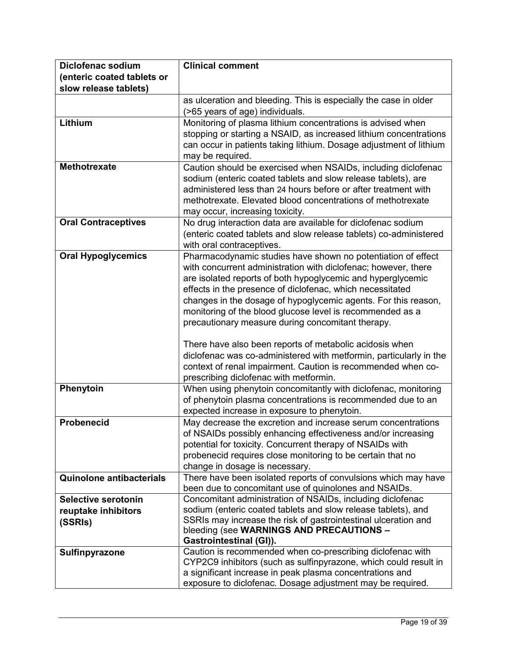| Diclofenac sodium               | <b>Clinical comment</b>                                                                                                         |
|---------------------------------|---------------------------------------------------------------------------------------------------------------------------------|
| (enteric coated tablets or      |                                                                                                                                 |
| slow release tablets)           |                                                                                                                                 |
|                                 | as ulceration and bleeding. This is especially the case in older                                                                |
|                                 | (>65 years of age) individuals.                                                                                                 |
| Lithium                         | Monitoring of plasma lithium concentrations is advised when                                                                     |
|                                 | stopping or starting a NSAID, as increased lithium concentrations                                                               |
|                                 | can occur in patients taking lithium. Dosage adjustment of lithium                                                              |
|                                 | may be required.                                                                                                                |
| <b>Methotrexate</b>             | Caution should be exercised when NSAIDs, including diclofenac                                                                   |
|                                 | sodium (enteric coated tablets and slow release tablets), are                                                                   |
|                                 | administered less than 24 hours before or after treatment with                                                                  |
|                                 | methotrexate. Elevated blood concentrations of methotrexate                                                                     |
|                                 | may occur, increasing toxicity.                                                                                                 |
| <b>Oral Contraceptives</b>      | No drug interaction data are available for diclofenac sodium                                                                    |
|                                 | (enteric coated tablets and slow release tablets) co-administered                                                               |
|                                 | with oral contraceptives.                                                                                                       |
| <b>Oral Hypoglycemics</b>       | Pharmacodynamic studies have shown no potentiation of effect                                                                    |
|                                 | with concurrent administration with diclofenac; however, there                                                                  |
|                                 | are isolated reports of both hypoglycemic and hyperglycemic                                                                     |
|                                 | effects in the presence of diclofenac, which necessitated                                                                       |
|                                 | changes in the dosage of hypoglycemic agents. For this reason,                                                                  |
|                                 | monitoring of the blood glucose level is recommended as a                                                                       |
|                                 | precautionary measure during concomitant therapy.                                                                               |
|                                 | There have also been reports of metabolic acidosis when                                                                         |
|                                 | diclofenac was co-administered with metformin, particularly in the                                                              |
|                                 | context of renal impairment. Caution is recommended when co-                                                                    |
|                                 | prescribing diclofenac with metformin.                                                                                          |
| Phenytoin                       | When using phenytoin concomitantly with diclofenac, monitoring                                                                  |
|                                 | of phenytoin plasma concentrations is recommended due to an                                                                     |
|                                 | expected increase in exposure to phenytoin.                                                                                     |
| <b>Probenecid</b>               | May decrease the excretion and increase serum concentrations                                                                    |
|                                 | of NSAIDs possibly enhancing effectiveness and/or increasing                                                                    |
|                                 | potential for toxicity. Concurrent therapy of NSAIDs with                                                                       |
|                                 | probenecid requires close monitoring to be certain that no                                                                      |
|                                 | change in dosage is necessary.                                                                                                  |
| <b>Quinolone antibacterials</b> | There have been isolated reports of convulsions which may have                                                                  |
|                                 | been due to concomitant use of quinolones and NSAIDs.                                                                           |
| Selective serotonin             | Concomitant administration of NSAIDs, including diclofenac                                                                      |
| reuptake inhibitors             | sodium (enteric coated tablets and slow release tablets), and<br>SSRIs may increase the risk of gastrointestinal ulceration and |
| (SSRIs)                         | bleeding (see WARNINGS AND PRECAUTIONS -                                                                                        |
|                                 | Gastrointestinal (GI)).                                                                                                         |
| Sulfinpyrazone                  | Caution is recommended when co-prescribing diclofenac with                                                                      |
|                                 | CYP2C9 inhibitors (such as sulfinpyrazone, which could result in                                                                |
|                                 | a significant increase in peak plasma concentrations and                                                                        |
|                                 | exposure to diclofenac. Dosage adjustment may be required.                                                                      |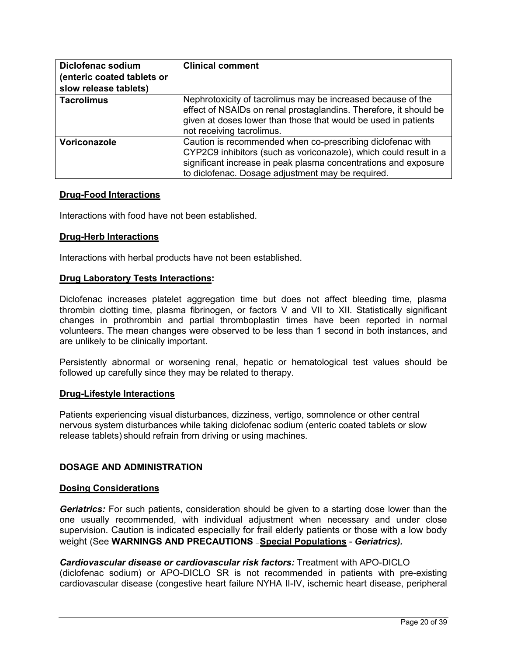| <b>Diclofenac sodium</b><br>(enteric coated tablets or<br>slow release tablets) | <b>Clinical comment</b>                                                                                                                                                                                                                                 |
|---------------------------------------------------------------------------------|---------------------------------------------------------------------------------------------------------------------------------------------------------------------------------------------------------------------------------------------------------|
| <b>Tacrolimus</b>                                                               | Nephrotoxicity of tacrolimus may be increased because of the<br>effect of NSAIDs on renal prostaglandins. Therefore, it should be<br>given at doses lower than those that would be used in patients<br>not receiving tacrolimus.                        |
| Voriconazole                                                                    | Caution is recommended when co-prescribing diclofenac with<br>CYP2C9 inhibitors (such as voriconazole), which could result in a<br>significant increase in peak plasma concentrations and exposure<br>to diclofenac. Dosage adjustment may be required. |

## **Drug-Food Interactions**

Interactions with food have not been established.

### **Drug-Herb Interactions**

Interactions with herbal products have not been established.

### **Drug Laboratory Tests Interactions:**

Diclofenac increases platelet aggregation time but does not affect bleeding time, plasma thrombin clotting time, plasma fibrinogen, or factors V and VII to XII. Statistically significant changes in prothrombin and partial thromboplastin times have been reported in normal volunteers. The mean changes were observed to be less than 1 second in both instances, and are unlikely to be clinically important.

Persistently abnormal or worsening renal, hepatic or hematological test values should be followed up carefully since they may be related to therapy.

### **Drug-Lifestyle Interactions**

Patients experiencing visual disturbances, dizziness, vertigo, somnolence or other central nervous system disturbances while taking diclofenac sodium (enteric coated tablets or slow release tablets) should refrain from driving or using machines.

### <span id="page-19-0"></span>**DOSAGE AND ADMINISTRATION**

### **Dosing Considerations**

*Geriatrics:* For such patients, consideration should be given to a starting dose lower than the one usually recommended, with individual adjustment when necessary and under close supervision. Caution is indicated especially for frail elderly patients or those with a low body weight (See **WARNINGS AND PRECAUTIONS** — **Special Populations** - *Geriatrics).*

#### *Cardiovascular disease or cardiovascular risk factors:* Treatment with APO-DICLO (diclofenac sodium) or APO-DICLO SR is not recommended in patients with pre-existing cardiovascular disease (congestive heart failure NYHA II-IV, ischemic heart disease, peripheral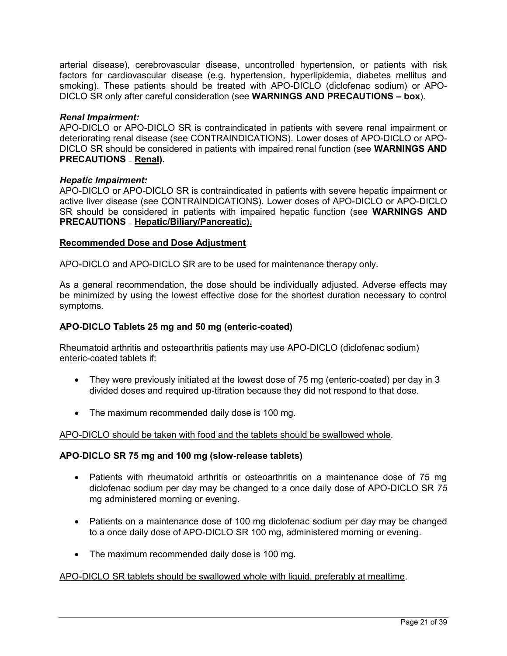arterial disease), cerebrovascular disease, uncontrolled hypertension, or patients with risk factors for cardiovascular disease (e.g. hypertension, hyperlipidemia, diabetes mellitus and smoking). These patients should be treated with APO-DICLO (diclofenac sodium) or APO-DICLO SR only after careful consideration (see **WARNINGS AND PRECAUTIONS – box**).

## *Renal Impairment:*

APO-DICLO or APO-DICLO SR is contraindicated in patients with severe renal impairment or deteriorating renal disease (see CONTRAINDICATIONS). Lower doses of APO-DICLO or APO-DICLO SR should be considered in patients with impaired renal function (see **WARNINGS AND PRECAUTIONS** — **Renal).**

## *Hepatic Impairment:*

APO-DICLO or APO-DICLO SR is contraindicated in patients with severe hepatic impairment or active liver disease (see CONTRAINDICATIONS). Lower doses of APO-DICLO or APO-DICLO SR should be considered in patients with impaired hepatic function (see **WARNINGS AND PRECAUTIONS** — **Hepatic/Biliary/Pancreatic).**

## **Recommended Dose and Dose Adjustment**

APO-DICLO and APO-DICLO SR are to be used for maintenance therapy only.

As a general recommendation, the dose should be individually adjusted. Adverse effects may be minimized by using the lowest effective dose for the shortest duration necessary to control symptoms.

## **APO-DICLO Tablets 25 mg and 50 mg (enteric-coated)**

Rheumatoid arthritis and osteoarthritis patients may use APO-DICLO (diclofenac sodium) enteric-coated tablets if:

- They were previously initiated at the lowest dose of 75 mg (enteric-coated) per day in 3 divided doses and required up-titration because they did not respond to that dose.
- The maximum recommended daily dose is 100 mg.

### APO-DICLO should be taken with food and the tablets should be swallowed whole.

## **APO-DICLO SR 75 mg and 100 mg (slow-release tablets)**

- Patients with rheumatoid arthritis or osteoarthritis on a maintenance dose of 75 mg diclofenac sodium per day may be changed to a once daily dose of APO-DICLO SR *75*  mg administered morning or evening.
- Patients on a maintenance dose of 100 mg diclofenac sodium per day may be changed to a once daily dose of APO-DICLO SR 100 mg, administered morning or evening.
- The maximum recommended daily dose is 100 mg.

### APO-DICLO SR tablets should be swallowed whole with liquid, preferably at mealtime.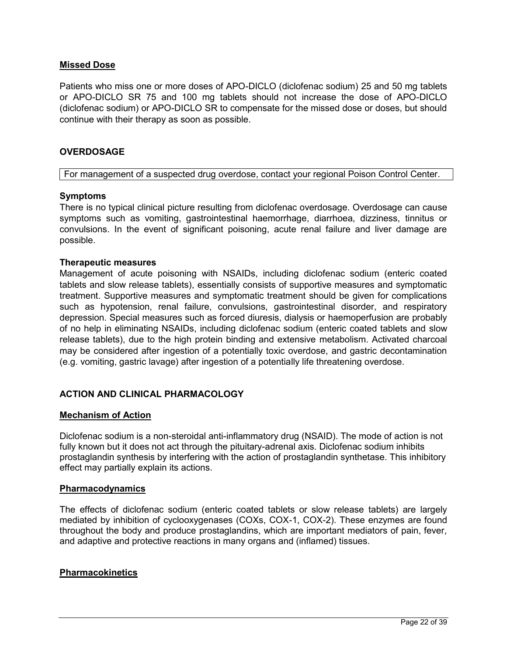## **Missed Dose**

Patients who miss one or more doses of APO-DICLO (diclofenac sodium) 25 and 50 mg tablets or APO-DICLO SR 75 and 100 mg tablets should not increase the dose of APO-DICLO (diclofenac sodium) or APO-DICLO SR to compensate for the missed dose or doses, but should continue with their therapy as soon as possible.

### <span id="page-21-0"></span>**OVERDOSAGE**

#### For management of a suspected drug overdose, contact your regional Poison Control Center.

### **Symptoms**

There is no typical clinical picture resulting from diclofenac overdosage. Overdosage can cause symptoms such as vomiting, gastrointestinal haemorrhage, diarrhoea, dizziness, tinnitus or convulsions. In the event of significant poisoning, acute renal failure and liver damage are possible.

### **Therapeutic measures**

Management of acute poisoning with NSAIDs, including diclofenac sodium (enteric coated tablets and slow release tablets), essentially consists of supportive measures and symptomatic treatment. Supportive measures and symptomatic treatment should be given for complications such as hypotension, renal failure, convulsions, gastrointestinal disorder, and respiratory depression. Special measures such as forced diuresis, dialysis or haemoperfusion are probably of no help in eliminating NSAIDs, including diclofenac sodium (enteric coated tablets and slow release tablets), due to the high protein binding and extensive metabolism. Activated charcoal may be considered after ingestion of a potentially toxic overdose, and gastric decontamination (e.g. vomiting, gastric lavage) after ingestion of a potentially life threatening overdose.

## <span id="page-21-1"></span>**ACTION AND CLINICAL PHARMACOLOGY**

### **Mechanism of Action**

Diclofenac sodium is a non-steroidal anti-inflammatory drug (NSAID). The mode of action is not fully known but it does not act through the pituitary-adrenal axis. Diclofenac sodium inhibits prostaglandin synthesis by interfering with the action of prostaglandin synthetase. This inhibitory effect may partially explain its actions.

### **Pharmacodynamics**

The effects of diclofenac sodium (enteric coated tablets or slow release tablets) are largely mediated by inhibition of cyclooxygenases (COXs, COX-1, COX-2). These enzymes are found throughout the body and produce prostaglandins, which are important mediators of pain, fever, and adaptive and protective reactions in many organs and (inflamed) tissues.

### **Pharmacokinetics**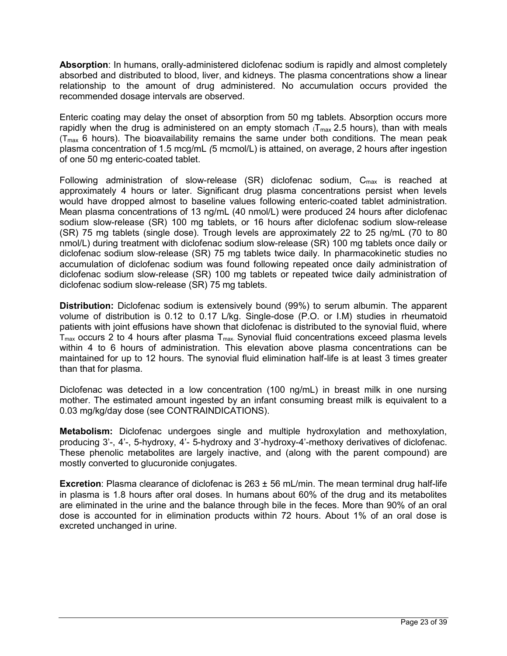**Absorption**: In humans, orally-administered diclofenac sodium is rapidly and almost completely absorbed and distributed to blood, liver, and kidneys. The plasma concentrations show a linear relationship to the amount of drug administered. No accumulation occurs provided the recommended dosage intervals are observed.

Enteric coating may delay the onset of absorption from 50 mg tablets. Absorption occurs more rapidly when the drug is administered on an empty stomach  $(T_{max} 2.5$  hours), than with meals  $(T_{max} 6$  hours). The bioavailability remains the same under both conditions. The mean peak plasma concentration of 1.5 mcg/mL *(*5 mcmol/L) is attained, on average, 2 hours after ingestion of one 50 mg enteric-coated tablet.

Following administration of slow-release  $(SR)$  diclofenac sodium,  $C_{\text{max}}$  is reached at approximately 4 hours or later. Significant drug plasma concentrations persist when levels would have dropped almost to baseline values following enteric-coated tablet administration. Mean plasma concentrations of 13 ng/mL (40 nmol/L) were produced 24 hours after diclofenac sodium slow-release (SR) 100 mg tablets, or 16 hours after diclofenac sodium slow-release (SR) 75 mg tablets (single dose). Trough levels are approximately 22 to 25 ng/mL (70 to 80 nmol/L) during treatment with diclofenac sodium slow-release (SR) 100 mg tablets once daily or diclofenac sodium slow-release (SR) 75 mg tablets twice daily. In pharmacokinetic studies no accumulation of diclofenac sodium was found following repeated once daily administration of diclofenac sodium slow-release (SR) 100 mg tablets or repeated twice daily administration of diclofenac sodium slow-release (SR) 75 mg tablets.

**Distribution:** Diclofenac sodium is extensively bound (99%) to serum albumin. The apparent volume of distribution is 0.12 to 0.17 L/kg. Single-dose (P.O. or I.M) studies in rheumatoid patients with joint effusions have shown that diclofenac is distributed to the synovial fluid, where  $T_{\text{max}}$  occurs 2 to 4 hours after plasma  $T_{\text{max}}$ . Synovial fluid concentrations exceed plasma levels within 4 to 6 hours of administration. This elevation above plasma concentrations can be maintained for up to 12 hours. The synovial fluid elimination half-life is at least 3 times greater than that for plasma.

Diclofenac was detected in a low concentration (100 ng/mL) in breast milk in one nursing mother. The estimated amount ingested by an infant consuming breast milk is equivalent to a 0.03 mg/kg/day dose (see CONTRAINDICATIONS).

**Metabolism:** Diclofenac undergoes single and multiple hydroxylation and methoxylation, producing 3'-, 4'-, 5-hydroxy, 4'- 5-hydroxy and 3'-hydroxy-4'-methoxy derivatives of diclofenac. These phenolic metabolites are largely inactive, and (along with the parent compound) are mostly converted to glucuronide conjugates.

**Excretion**: Plasma clearance of diclofenac is 263 ± 56 mL/min. The mean terminal drug half-life in plasma is 1.8 hours after oral doses. In humans about 60% of the drug and its metabolites are eliminated in the urine and the balance through bile in the feces. More than 90% of an oral dose is accounted for in elimination products within 72 hours. About 1% of an oral dose is excreted unchanged in urine.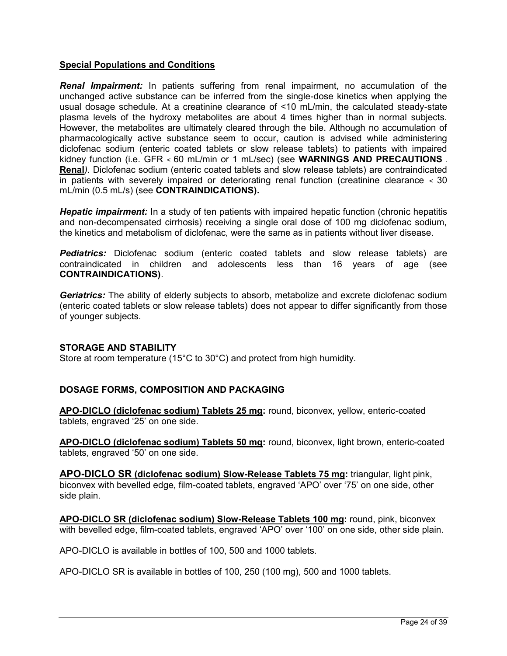## **Special Populations and Conditions**

**Renal Impairment:** In patients suffering from renal impairment, no accumulation of the unchanged active substance can be inferred from the single-dose kinetics when applying the usual dosage schedule. At a creatinine clearance of <10 mL/min, the calculated steady-state plasma levels of the hydroxy metabolites are about 4 times higher than in normal subjects. However, the metabolites are ultimately cleared through the bile. Although no accumulation of pharmacologically active substance seem to occur, caution is advised while administering diclofenac sodium (enteric coated tablets or slow release tablets) to patients with impaired kidney function (i.e. GFR < 60 mL/min or 1 mL/sec) (see **WARNINGS AND PRECAUTIONS - Renal***).* Diclofenac sodium (enteric coated tablets and slow release tablets) are contraindicated in patients with severely impaired or deteriorating renal function (creatinine clearance < 30 mL/min (0.5 mL/s) (see **CONTRAINDICATIONS).**

*Hepatic impairment:* In a study of ten patients with impaired hepatic function (chronic hepatitis and non-decompensated cirrhosis) receiving a single oral dose of 100 mg diclofenac sodium, the kinetics and metabolism of diclofenac, were the same as in patients without liver disease.

**Pediatrics:** Diclofenac sodium (enteric coated tablets and slow release tablets) are contraindicated in children and adolescents less than 16 years of age (see **CONTRAINDICATIONS)**.

Geriatrics: The ability of elderly subjects to absorb, metabolize and excrete diclofenac sodium (enteric coated tablets or slow release tablets) does not appear to differ significantly from those of younger subjects.

## <span id="page-23-0"></span>**STORAGE AND STABILITY**

Store at room temperature (15°C to 30°C) and protect from high humidity.

## <span id="page-23-1"></span>**DOSAGE FORMS, COMPOSITION AND PACKAGING**

**APO-DICLO (diclofenac sodium) Tablets 25 mg:** round, biconvex, yellow, enteric-coated tablets, engraved '25' on one side.

**APO-DICLO (diclofenac sodium) Tablets 50 mg:** round, biconvex, light brown, enteric-coated tablets, engraved '50' on one side.

**APO-DICLO SR (diclofenac sodium) Slow-Release Tablets 75 mg:** triangular, light pink, biconvex with bevelled edge, film-coated tablets, engraved 'APO' over '75' on one side, other side plain.

**APO-DICLO SR (diclofenac sodium) Slow-Release Tablets 100 mg:** round, pink, biconvex with bevelled edge, film-coated tablets, engraved 'APO' over '100' on one side, other side plain.

APO-DICLO is available in bottles of 100, 500 and 1000 tablets.

APO-DICLO SR is available in bottles of 100, 250 (100 mg), 500 and 1000 tablets.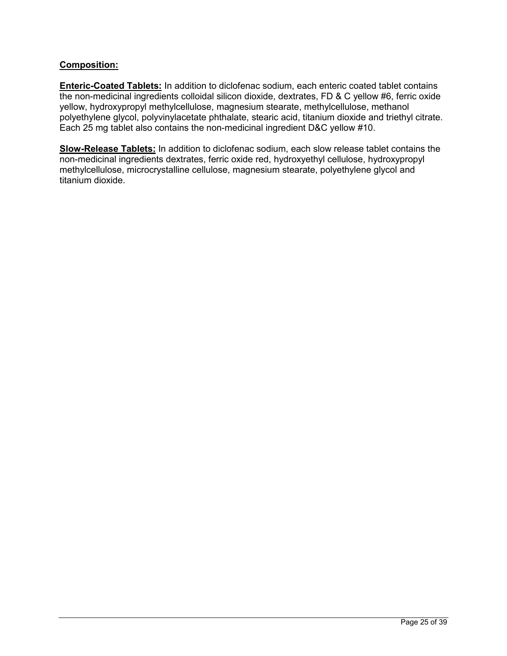## **Composition:**

**Enteric-Coated Tablets:** In addition to diclofenac sodium, each enteric coated tablet contains the non-medicinal ingredients colloidal silicon dioxide, dextrates, FD & C yellow #6, ferric oxide yellow, hydroxypropyl methylcellulose, magnesium stearate, methylcellulose, methanol polyethylene glycol, polyvinylacetate phthalate, stearic acid, titanium dioxide and triethyl citrate. Each 25 mg tablet also contains the non-medicinal ingredient D&C yellow #10.

**Slow-Release Tablets:** In addition to diclofenac sodium, each slow release tablet contains the non-medicinal ingredients dextrates, ferric oxide red, hydroxyethyl cellulose, hydroxypropyl methylcellulose, microcrystalline cellulose, magnesium stearate, polyethylene glycol and titanium dioxide.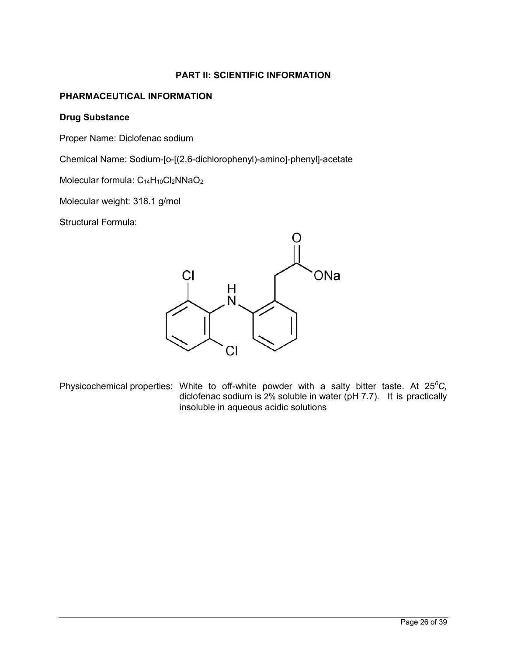## **PART II: SCIENTIFIC INFORMATION**

## <span id="page-25-1"></span><span id="page-25-0"></span>**PHARMACEUTICAL INFORMATION**

### **Drug Substance**

Proper Name: Diclofenac sodium

Chemical Name: Sodium-[o-[(2,6-dichlorophenyl)-amino]-phenyl]-acetate

Molecular formula:  $C_{14}H_{10}Cl_2NNaO_2$ 

Molecular weight: 318.1 g/mol

Structural Formula:



Physicochemical properties: White to off-white powder with a salty bitter taste. At 25*<sup>0</sup>C,*  diclofenac sodium is 2% soluble in water (pH 7.7). It is practically insoluble in aqueous acidic solutions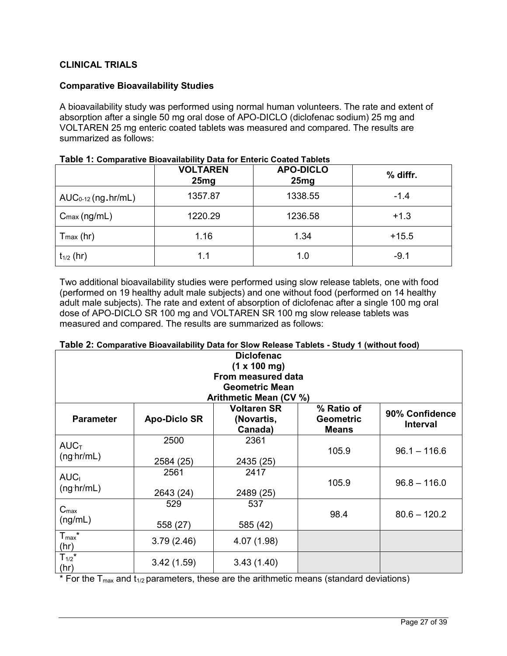## <span id="page-26-0"></span>**CLINICAL TRIALS**

## **Comparative Bioavailability Studies**

A bioavailability study was performed using normal human volunteers. The rate and extent of absorption after a single 50 mg oral dose of APO-DICLO (diclofenac sodium) 25 mg and VOLTAREN 25 mg enteric coated tablets was measured and compared. The results are summarized as follows:

|                          | <b>VOLTAREN</b><br>25mg | <b>APO-DICLO</b><br>25mg | % diffr. |
|--------------------------|-------------------------|--------------------------|----------|
| $AUC_{0-12}$ (ng.hr/mL)  | 1357.87                 | 1338.55                  | $-1.4$   |
| $C_{\text{max}}$ (ng/mL) | 1220.29                 | 1236.58                  | $+1.3$   |
| $T$ <sub>max</sub> (hr)  | 1.16                    | 1.34                     | $+15.5$  |
| $t_{1/2}$ (hr)           | 1.1                     | 1.0                      | $-9.1$   |

| Table 1: Comparative Bioavailability Data for Enteric Coated Tablets |  |
|----------------------------------------------------------------------|--|
|----------------------------------------------------------------------|--|

Two additional bioavailability studies were performed using slow release tablets, one with food (performed on 19 healthy adult male subjects) and one without food (performed on 14 healthy adult male subjects). The rate and extent of absorption of diclofenac after a single 100 mg oral dose of APO-DICLO SR 100 mg and VOLTAREN SR 100 mg slow release tablets was measured and compared. The results are summarized as follows:

| <b>Diclofenac</b>                   |                     |                                             |                                                |                                   |
|-------------------------------------|---------------------|---------------------------------------------|------------------------------------------------|-----------------------------------|
| (1 x 100 mg)                        |                     |                                             |                                                |                                   |
|                                     |                     | From measured data                          |                                                |                                   |
|                                     |                     | <b>Geometric Mean</b>                       |                                                |                                   |
|                                     |                     | Arithmetic Mean (CV %)                      |                                                |                                   |
| <b>Parameter</b>                    | <b>Apo-Diclo SR</b> | <b>Voltaren SR</b><br>(Novartis,<br>Canada) | % Ratio of<br><b>Geometric</b><br><b>Means</b> | 90% Confidence<br><b>Interval</b> |
| $AUC$ <sub>T</sub><br>$(ng\ hr/mL)$ | 2500<br>2584 (25)   | 2361<br>2435 (25)                           | 105.9                                          | $96.1 - 116.6$                    |
| AUC <sub>1</sub><br>(ng h r/mL)     | 2561<br>2643 (24)   | 2417<br>2489 (25)                           | 105.9                                          | $96.8 - 116.0$                    |
| $C_{\text{max}}$<br>(ng/mL)         | 529<br>558 (27)     | 537<br>585 (42)                             | 98.4                                           | $80.6 - 120.2$                    |
| $T_{max}$ *<br>(hr)                 | 3.79(2.46)          | 4.07 (1.98)                                 |                                                |                                   |
| $T_{1/2}$ *<br>(hr)                 | 3.42(1.59)          | 3.43(1.40)                                  |                                                |                                   |

**Table 2: Comparative Bioavailability Data for Slow Release Tablets - Study 1 (without food)**

\* For the  $T_{max}$  and  $t_{1/2}$  parameters, these are the arithmetic means (standard deviations)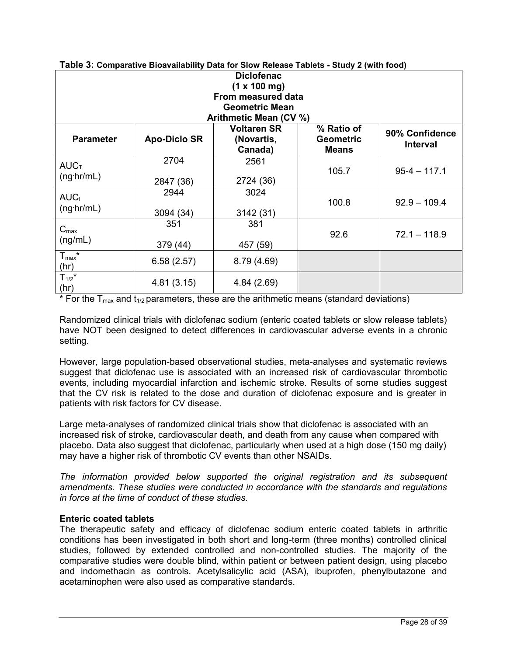| <b>Diclofenac</b><br>(1 x 100 mg)   |                       |                                             |                                                |                                   |  |  |
|-------------------------------------|-----------------------|---------------------------------------------|------------------------------------------------|-----------------------------------|--|--|
| From measured data                  |                       |                                             |                                                |                                   |  |  |
|                                     | <b>Geometric Mean</b> |                                             |                                                |                                   |  |  |
|                                     |                       | Arithmetic Mean (CV %)                      |                                                |                                   |  |  |
| <b>Parameter</b>                    | <b>Apo-Diclo SR</b>   | <b>Voltaren SR</b><br>(Novartis,<br>Canada) | % Ratio of<br><b>Geometric</b><br><b>Means</b> | 90% Confidence<br><b>Interval</b> |  |  |
| $AUC$ <sub>T</sub><br>$(ng\ hr/mL)$ | 2704<br>2847 (36)     | 2561<br>2724 (36)                           | 105.7                                          | $95-4 - 117.1$                    |  |  |
| AUC <sub>1</sub><br>(ng hr/mL)      | 2944<br>3094 (34)     | 3024<br>3142 (31)                           | 100.8                                          | $92.9 - 109.4$                    |  |  |
| $C_{\text{max}}$<br>(ng/mL)         | 351<br>379 (44)       | 381<br>457 (59)                             | 92.6                                           | $72.1 - 118.9$                    |  |  |
| $T_{max}$ *<br>(hr)                 | 6.58(2.57)            | 8.79 (4.69)                                 |                                                |                                   |  |  |
| $T_{1/2}$ *<br>(hr)                 | 4.81(3.15)            | 4.84 (2.69)                                 |                                                |                                   |  |  |

#### **Table 3: Comparative Bioavailability Data for Slow Release Tablets - Study 2 (with food)**

\* For the  $T_{max}$  and  $t_{1/2}$  parameters, these are the arithmetic means (standard deviations)

Randomized clinical trials with diclofenac sodium (enteric coated tablets or slow release tablets) have NOT been designed to detect differences in cardiovascular adverse events in a chronic setting.

However, large population-based observational studies, meta-analyses and systematic reviews suggest that diclofenac use is associated with an increased risk of cardiovascular thrombotic events, including myocardial infarction and ischemic stroke. Results of some studies suggest that the CV risk is related to the dose and duration of diclofenac exposure and is greater in patients with risk factors for CV disease.

Large meta-analyses of randomized clinical trials show that diclofenac is associated with an increased risk of stroke, cardiovascular death, and death from any cause when compared with placebo. Data also suggest that diclofenac, particularly when used at a high dose (150 mg daily) may have a higher risk of thrombotic CV events than other NSAIDs.

*The information provided below supported the original registration and its subsequent amendments. These studies were conducted in accordance with the standards and regulations in force at the time of conduct of these studies.*

## **Enteric coated tablets**

The therapeutic safety and efficacy of diclofenac sodium enteric coated tablets in arthritic conditions has been investigated in both short and long-term (three months) controlled clinical studies, followed by extended controlled and non-controlled studies. The majority of the comparative studies were double blind, within patient or between patient design, using placebo and indomethacin as controls. Acetylsalicylic acid (ASA), ibuprofen, phenylbutazone and acetaminophen were also used as comparative standards.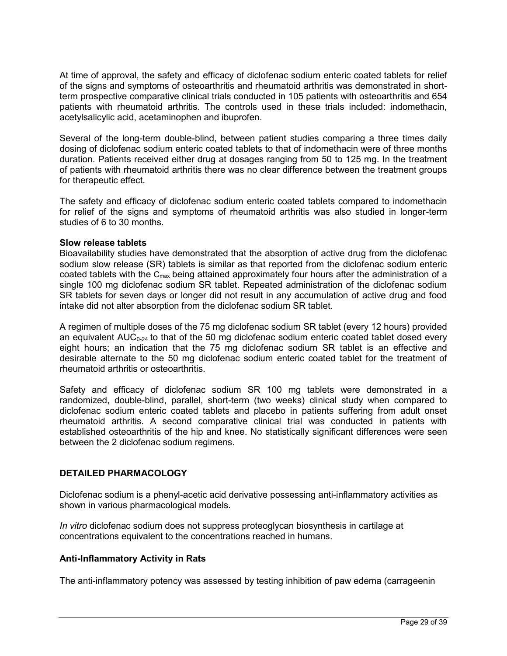At time of approval, the safety and efficacy of diclofenac sodium enteric coated tablets for relief of the signs and symptoms of osteoarthritis and rheumatoid arthritis was demonstrated in shortterm prospective comparative clinical trials conducted in 105 patients with osteoarthritis and 654 patients with rheumatoid arthritis. The controls used in these trials included: indomethacin, acetylsalicylic acid, acetaminophen and ibuprofen.

Several of the long-term double-blind, between patient studies comparing a three times daily dosing of diclofenac sodium enteric coated tablets to that of indomethacin were of three months duration. Patients received either drug at dosages ranging from 50 to 125 mg. In the treatment of patients with rheumatoid arthritis there was no clear difference between the treatment groups for therapeutic effect.

The safety and efficacy of diclofenac sodium enteric coated tablets compared to indomethacin for relief of the signs and symptoms of rheumatoid arthritis was also studied in longer-term studies of 6 to 30 months.

## **Slow release tablets**

Bioavailability studies have demonstrated that the absorption of active drug from the diclofenac sodium slow release (SR) tablets is similar as that reported from the diclofenac sodium enteric coated tablets with the C<sub>max</sub> being attained approximately four hours after the administration of a single 100 mg diclofenac sodium SR tablet. Repeated administration of the diclofenac sodium SR tablets for seven days or longer did not result in any accumulation of active drug and food intake did not alter absorption from the diclofenac sodium SR tablet.

A regimen of multiple doses of the 75 mg diclofenac sodium SR tablet (every 12 hours) provided an equivalent  $AUC_{0-24}$  to that of the 50 mg diclofenac sodium enteric coated tablet dosed every eight hours; an indication that the 75 mg diclofenac sodium SR tablet is an effective and desirable alternate to the 50 mg diclofenac sodium enteric coated tablet for the treatment of rheumatoid arthritis or osteoarthritis.

Safety and efficacy of diclofenac sodium SR 100 mg tablets were demonstrated in a randomized, double-blind, parallel, short-term (two weeks) clinical study when compared to diclofenac sodium enteric coated tablets and placebo in patients suffering from adult onset rheumatoid arthritis. A second comparative clinical trial was conducted in patients with established osteoarthritis of the hip and knee. No statistically significant differences were seen between the 2 diclofenac sodium regimens.

## <span id="page-28-0"></span>**DETAILED PHARMACOLOGY**

Diclofenac sodium is a phenyl-acetic acid derivative possessing anti-inflammatory activities as shown in various pharmacological models.

*In vitro* diclofenac sodium does not suppress proteoglycan biosynthesis in cartilage at concentrations equivalent to the concentrations reached in humans.

## **Anti-Inflammatory Activity in Rats**

The anti-inflammatory potency was assessed by testing inhibition of paw edema (carrageenin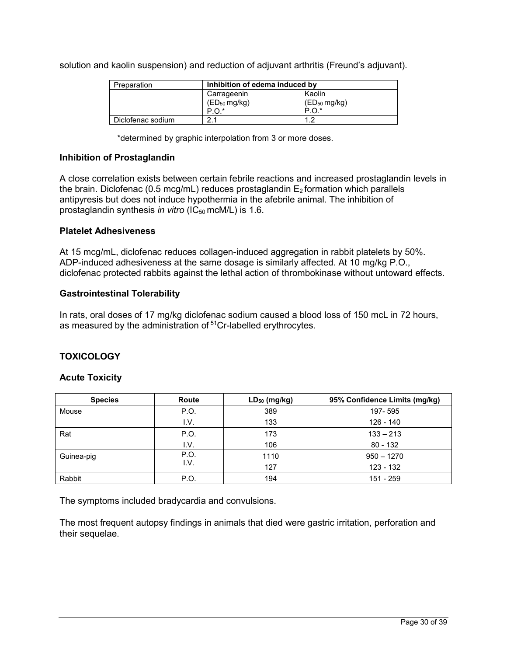solution and kaolin suspension) and reduction of adjuvant arthritis (Freund's adjuvant).

| Preparation       | Inhibition of edema induced by |                   |
|-------------------|--------------------------------|-------------------|
|                   | Carrageenin                    | Kaolin            |
|                   | $(ED_{50} mg/kg)$              | $(ED_{50} mg/kg)$ |
|                   | $P.O.*$                        | $P.O.*$           |
| Diclofenac sodium |                                |                   |

\*determined by graphic interpolation from 3 or more doses.

## **Inhibition of Prostaglandin**

A close correlation exists between certain febrile reactions and increased prostaglandin levels in the brain. Diclofenac (0.5 mcg/mL) reduces prostaglandin  $E_2$  formation which parallels antipyresis but does not induce hypothermia in the afebrile animal. The inhibition of prostaglandin synthesis *in vitro* (IC<sub>50</sub> mcM/L) is 1.6.

### **Platelet Adhesiveness**

At 15 mcg/mL, diclofenac reduces collagen-induced aggregation in rabbit platelets by 50%. ADP-induced adhesiveness at the same dosage is similarly affected. At 10 mg/kg P.O., diclofenac protected rabbits against the lethal action of thrombokinase without untoward effects.

## **Gastrointestinal Tolerability**

In rats, oral doses of 17 mg/kg diclofenac sodium caused a blood loss of 150 mcL in 72 hours, as measured by the administration of <sup>51</sup>Cr-labelled erythrocytes.

## <span id="page-29-0"></span>**TOXICOLOGY**

### **Acute Toxicity**

| <b>Species</b> | Route | $LD_{50}$ (mg/kg) | 95% Confidence Limits (mg/kg) |
|----------------|-------|-------------------|-------------------------------|
| Mouse          | P.O.  | 389               | 197-595                       |
|                | I.V.  | 133               | 126 - 140                     |
| Rat            | P.O.  | 173               | $133 - 213$                   |
|                | I.V.  | 106               | $80 - 132$                    |
| Guinea-pig     | P.O.  | 1110              | $950 - 1270$                  |
|                | I.V.  | 127               | 123 - 132                     |
| Rabbit         | P.O.  | 194               | 151 - 259                     |

The symptoms included bradycardia and convulsions.

The most frequent autopsy findings in animals that died were gastric irritation, perforation and their sequelae.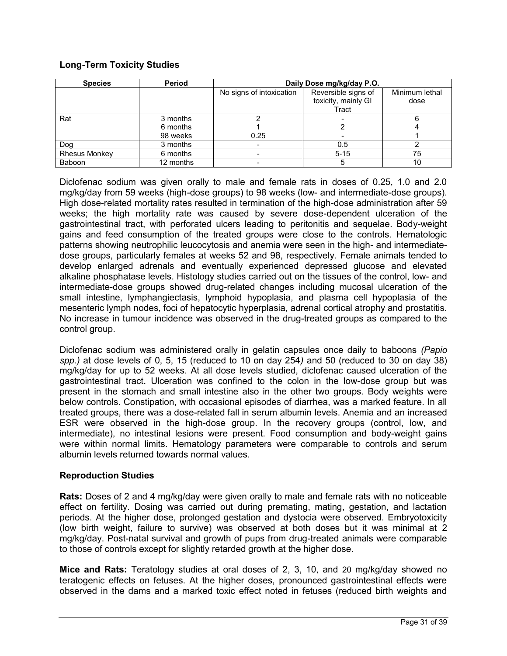## **Long-Term Toxicity Studies**

| <b>Species</b>       | Period    | Daily Dose mg/kg/day P.O. |                     |                |
|----------------------|-----------|---------------------------|---------------------|----------------|
|                      |           | No signs of intoxication  | Reversible signs of | Minimum lethal |
|                      |           |                           | toxicity, mainly GI | dose           |
|                      |           |                           | Tract               |                |
| Rat                  | 3 months  |                           |                     |                |
|                      | 6 months  |                           |                     |                |
|                      | 98 weeks  | 0.25                      |                     |                |
| Dog                  | 3 months  |                           | 0.5                 |                |
| <b>Rhesus Monkey</b> | 6 months  |                           | $5 - 15$            | 75             |
| Baboon               | 12 months |                           | 5                   | 10             |

Diclofenac sodium was given orally to male and female rats in doses of 0.25, 1.0 and 2.0 mg/kg/day from 59 weeks (high-dose groups) to 98 weeks (low- and intermediate-dose groups). High dose-related mortality rates resulted in termination of the high-dose administration after 59 weeks; the high mortality rate was caused by severe dose-dependent ulceration of the gastrointestinal tract, with perforated ulcers leading to peritonitis and sequelae. Body-weight gains and feed consumption of the treated groups were close to the controls. Hematologic patterns showing neutrophilic leucocytosis and anemia were seen in the high- and intermediatedose groups, particularly females at weeks 52 and 98, respectively. Female animals tended to develop enlarged adrenals and eventually experienced depressed glucose and elevated alkaline phosphatase levels. Histology studies carried out on the tissues of the control, low- and intermediate-dose groups showed drug-related changes including mucosal ulceration of the small intestine, lymphangiectasis, lymphoid hypoplasia, and plasma cell hypoplasia of the mesenteric lymph nodes, foci of hepatocytic hyperplasia, adrenal cortical atrophy and prostatitis. No increase in tumour incidence was observed in the drug-treated groups as compared to the control group.

Diclofenac sodium was administered orally in gelatin capsules once daily to baboons *(Papio spp.)* at dose levels of 0, 5, 15 (reduced to 10 on day 254*)* and 50 (reduced to 30 on day 38) mg/kg/day for up to 52 weeks. At all dose levels studied, diclofenac caused ulceration of the gastrointestinal tract. Ulceration was confined to the colon in the low-dose group but was present in the stomach and small intestine also in the other two groups. Body weights were below controls. Constipation, with occasional episodes of diarrhea, was a marked feature. In all treated groups, there was a dose-related fall in serum albumin levels. Anemia and an increased ESR were observed in the high-dose group. In the recovery groups (control, low, and intermediate), no intestinal lesions were present. Food consumption and body-weight gains were within normal limits. Hematology parameters were comparable to controls and serum albumin levels returned towards normal values.

## **Reproduction Studies**

**Rats:** Doses of 2 and 4 mg/kg/day were given orally to male and female rats with no noticeable effect on fertility. Dosing was carried out during premating, mating, gestation, and lactation periods. At the higher dose, prolonged gestation and dystocia were observed. Embryotoxicity (low birth weight, failure to survive) was observed at both doses but it was minimal at 2 mg/kg/day. Post-natal survival and growth of pups from drug-treated animals were comparable to those of controls except for slightly retarded growth at the higher dose.

**Mice and Rats:** Teratology studies at oral doses of 2, 3, 10, and 20 mg/kg/day showed no teratogenic effects on fetuses. At the higher doses, pronounced gastrointestinal effects were observed in the dams and a marked toxic effect noted in fetuses (reduced birth weights and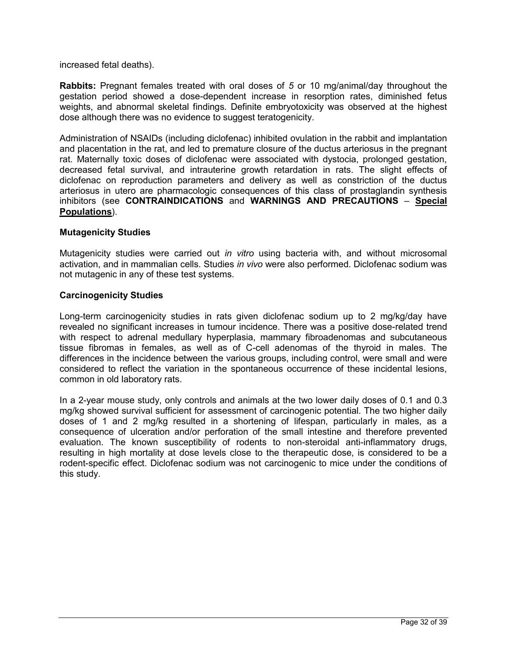### increased fetal deaths).

**Rabbits:** Pregnant females treated with oral doses of *5* or 10 mg/animal/day throughout the gestation period showed a dose-dependent increase in resorption rates, diminished fetus weights, and abnormal skeletal findings. Definite embryotoxicity was observed at the highest dose although there was no evidence to suggest teratogenicity.

Administration of NSAIDs (including diclofenac) inhibited ovulation in the rabbit and implantation and placentation in the rat, and led to premature closure of the ductus arteriosus in the pregnant rat. Maternally toxic doses of diclofenac were associated with dystocia, prolonged gestation, decreased fetal survival, and intrauterine growth retardation in rats. The slight effects of diclofenac on reproduction parameters and delivery as well as constriction of the ductus arteriosus in utero are pharmacologic consequences of this class of prostaglandin synthesis inhibitors (see **CONTRAINDICATIONS** and **WARNINGS AND PRECAUTIONS** – **Special Populations**).

## **Mutagenicity Studies**

Mutagenicity studies were carried out *in vitro* using bacteria with, and without microsomal activation, and in mammalian cells. Studies *in vivo* were also performed. Diclofenac sodium was not mutagenic in any of these test systems.

## **Carcinogenicity Studies**

Long-term carcinogenicity studies in rats given diclofenac sodium up to 2 mg/kg/day have revealed no significant increases in tumour incidence. There was a positive dose-related trend with respect to adrenal medullary hyperplasia, mammary fibroadenomas and subcutaneous tissue fibromas in females, as well as of C-cell adenomas of the thyroid in males. The differences in the incidence between the various groups, including control, were small and were considered to reflect the variation in the spontaneous occurrence of these incidental lesions, common in old laboratory rats.

In a 2-year mouse study, only controls and animals at the two lower daily doses of 0.1 and 0.3 mg/kg showed survival sufficient for assessment of carcinogenic potential. The two higher daily doses of 1 and 2 mg/kg resulted in a shortening of lifespan, particularly in males, as a consequence of ulceration and/or perforation of the small intestine and therefore prevented evaluation. The known susceptibility of rodents to non-steroidal anti-inflammatory drugs, resulting in high mortality at dose levels close to the therapeutic dose, is considered to be a rodent-specific effect. Diclofenac sodium was not carcinogenic to mice under the conditions of this study.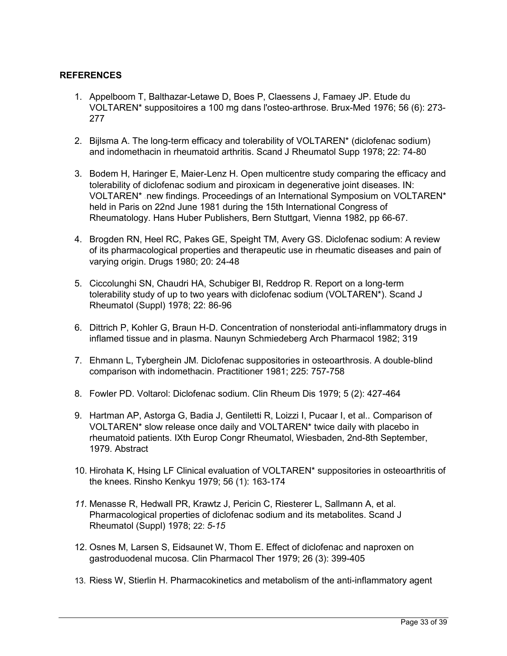## <span id="page-32-0"></span>**REFERENCES**

- 1. Appelboom T, Balthazar-Letawe D, Boes P, Claessens J, Famaey JP. Etude du VOLTAREN\* suppositoires a 100 mg dans l'osteo-arthrose. Brux-Med 1976; 56 (6): 273- 277
- 2. Bijlsma A. The long-term efficacy and tolerability of VOLTAREN\* (diclofenac sodium) and indomethacin in rheumatoid arthritis. Scand J Rheumatol Supp 1978; 22: 74-80
- 3. Bodem H, Haringer E, Maier-Lenz H. Open multicentre study comparing the efficacy and tolerability of diclofenac sodium and piroxicam in degenerative joint diseases. IN: VOLTAREN\* new findings. Proceedings of an International Symposium on VOLTAREN\* held in Paris on 22nd June 1981 during the 15th International Congress of Rheumatology. Hans Huber Publishers, Bern Stuttgart, Vienna 1982, pp 66-67.
- 4. Brogden RN, Heel RC, Pakes GE, Speight TM, Avery GS. Diclofenac sodium: A review of its pharmacological properties and therapeutic use in rheumatic diseases and pain of varying origin. Drugs 1980; 20: 24-48
- 5. Ciccolunghi SN, Chaudri HA, Schubiger BI, Reddrop R. Report on a long-term tolerability study of up to two years with diclofenac sodium (VOLTAREN\*). Scand J Rheumatol (Suppl) 1978; 22: 86-96
- 6. Dittrich P, Kohler G, Braun H-D. Concentration of nonsteriodal anti-inflammatory drugs in inflamed tissue and in plasma. Naunyn Schmiedeberg Arch Pharmacol 1982; 319
- 7. Ehmann L, Tyberghein JM. Diclofenac suppositories in osteoarthrosis. A double-blind comparison with indomethacin. Practitioner 1981; 225: 757-758
- 8. Fowler PD. Voltarol: Diclofenac sodium. Clin Rheum Dis 1979; 5 (2): 427-464
- 9. Hartman AP, Astorga G, Badia J, Gentiletti R, Loizzi I, Pucaar I, et al.. Comparison of VOLTAREN\* slow release once daily and VOLTAREN\* twice daily with placebo in rheumatoid patients. IXth Europ Congr Rheumatol, Wiesbaden, 2nd-8th September, 1979. Abstract
- 10. Hirohata K, Hsing LF Clinical evaluation of VOLTAREN\* suppositories in osteoarthritis of the knees. Rinsho Kenkyu 1979; 56 (1): 163-174
- *11.* Menasse R, Hedwall PR, Krawtz J, Pericin C, Riesterer L, Sallmann A, et al. Pharmacological properties of diclofenac sodium and its metabolites. Scand J Rheumatol (Suppl) 1978; 22: *5-15*
- 12. Osnes M, Larsen S, Eidsaunet W, Thom E. Effect of diclofenac and naproxen on gastroduodenal mucosa. Clin Pharmacol Ther 1979; 26 (3): 399-405
- 13. Riess W, Stierlin H. Pharmacokinetics and metabolism of the anti-inflammatory agent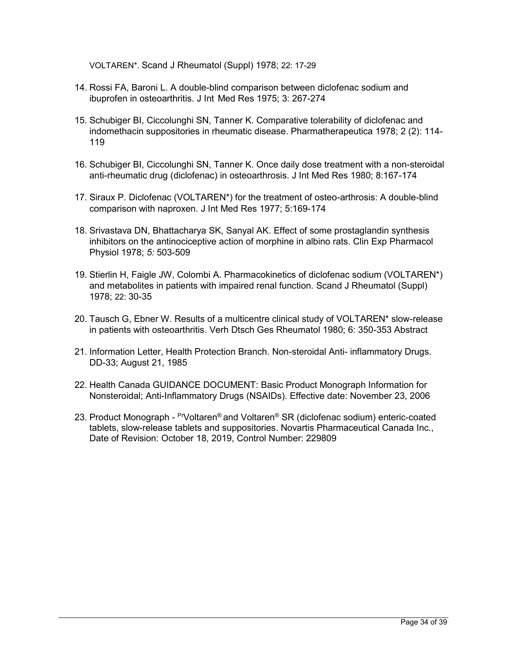VOLTAREN\*. Scand J Rheumatol (Suppl) 1978; 22: 17-29

- 14. Rossi FA, Baroni L. A double-blind comparison between diclofenac sodium and ibuprofen in osteoarthritis. J Int Med Res 1975; 3: 267-274
- 15. Schubiger BI, Ciccolunghi SN, Tanner K. Comparative tolerability of diclofenac and indomethacin suppositories in rheumatic disease. Pharmatherapeutica 1978; 2 (2): 114- 119
- 16. Schubiger BI, Ciccolunghi SN, Tanner K. Once daily dose treatment with a non-steroidal anti-rheumatic drug (diclofenac) in osteoarthrosis. J Int Med Res 1980; 8:167-174
- 17. Siraux P. Diclofenac (VOLTAREN\*) for the treatment of osteo-arthrosis: A double-blind comparison with naproxen. J Int Med Res 1977; 5:169-174
- 18. Srivastava DN, Bhattacharya SK, Sanyal AK. Effect of some prostaglandin synthesis inhibitors on the antinociceptive action of morphine in albino rats. Clin Exp Pharmacol Physiol 1978; *5:* 503-509
- 19. Stierlin H, Faigle JW, Colombi A. Pharmacokinetics of diclofenac sodium (VOLTAREN\*) and metabolites in patients with impaired renal function. Scand J Rheumatol (Suppl) 1978; 22: 30-35
- 20. Tausch G, Ebner W. Results of a multicentre clinical study of VOLTAREN\* slow-release in patients with osteoarthritis. Verh Dtsch Ges Rheumatol 1980; 6: 350-353 Abstract
- 21. Information Letter, Health Protection Branch. Non-steroidal Anti- inflammatory Drugs. DD-33; August 21, 1985
- 22. Health Canada GUIDANCE DOCUMENT: Basic Product Monograph Information for Nonsteroidal; Anti-Inflammatory Drugs (NSAIDs). Effective date: November 23, 2006
- 23. Product Monograph <sup>Pr</sup>Voltaren® and Voltaren® SR (diclofenac sodium) enteric-coated tablets, slow-release tablets and suppositories. Novartis Pharmaceutical Canada Inc., Date of Revision: October 18, 2019, Control Number: 229809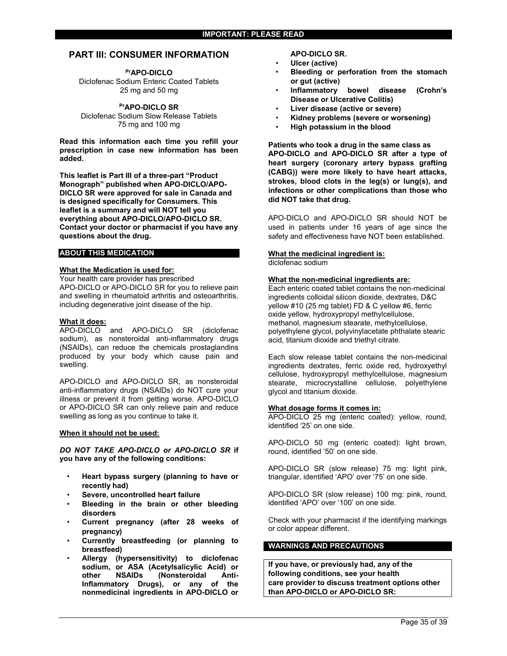#### <span id="page-34-0"></span>**PART III: CONSUMER INFORMATION**

**PrAPO-DICLO**

Diclofenac Sodium Enteric Coated Tablets 25 mg and 50 mg

#### **PrAPO-DICLO SR**

Diclofenac Sodium Slow Release Tablets 75 mg and 100 mg

**Read this information each time you refill your prescription in case new information has been added.**

**This leaflet is Part III of a three-part "Product Monograph" published when APO-DICLO/APO-DICLO SR were approved for sale in Canada and is designed specifically for Consumers. This leaflet is a summary and will NOT tell you everything about APO-DICLO/APO-DICLO SR. Contact your doctor or pharmacist if you have any questions about the drug.**

#### **ABOUT THIS MEDICATION**

#### **What the Medication is used for:**

Your health care provider has prescribed APO-DICLO or APO-DICLO SR for you to relieve pain and swelling in rheumatoid arthritis and osteoarthritis, including degenerative joint disease of the hip.

#### **What it does:**

APO-DICLO and APO-DICLO SR (diclofenac sodium), as nonsteroidal anti-inflammatory drugs (NSAIDs), can reduce the chemicals prostaglandins produced by your body which cause pain and swelling.

APO-DICLO and APO-DICLO SR, as nonsteroidal anti-inflammatory drugs (NSAIDs) do NOT cure your illness or prevent it from getting worse. APO-DICLO or APO-DICLO SR can only relieve pain and reduce swelling as long as you continue to take it.

#### **When it should not be used:**

*DO NOT TAKE APO-DICLO or APO-DICLO SR* **if you have any of the following conditions:**

- **Heart bypass surgery (planning to have or recently had)**
- **Severe, uncontrolled heart failure**
- **Bleeding in the brain or other bleeding disorders**
- **Current pregnancy (after 28 weeks of pregnancy)**
- **Currently breastfeeding (or planning to breastfeed)**
- **Allergy (hypersensitivity) to diclofenac sodium, or ASA (Acetylsalicylic Acid) or other NSAIDs (Nonsteroidal Anti-Inflammatory Drugs), or any of the nonmedicinal ingredients in APO-DICLO or**

#### **APO-DICLO SR.**

- **Ulcer (active)**
- **Bleeding or perforation from the stomach or gut (active)**
- **Inflammatory bowel disease (Crohn's Disease or Ulcerative Colitis)**
- **Liver disease (active or severe)**
- **Kidney problems (severe or worsening)**
- **High potassium in the blood**

**Patients who took a drug in the same class as APO-DICLO and APO-DICLO SR after a type of heart surgery (coronary artery bypass grafting (CABG)) were more likely to have heart attacks, strokes, blood clots in the leg(s) or lung(s), and infections or other complications than those who did NOT take that drug.**

APO-DICLO and APO-DICLO SR should NOT be used in patients under 16 years of age since the safety and effectiveness have NOT been established.

#### **What the medicinal ingredient is:**

diclofenac sodium

#### **What the non-medicinal ingredients are:**

Each enteric coated tablet contains the non-medicinal ingredients colloidal silicon dioxide, dextrates, D&C yellow #10 (25 mg tablet) FD & C yellow #6, ferric oxide yellow, hydroxypropyl methylcellulose, methanol, magnesium stearate, methylcellulose, polyethylene glycol, polyvinylacetate phthalate stearic acid, titanium dioxide and triethyl citrate.

Each slow release tablet contains the non-medicinal ingredients dextrates, ferric oxide red, hydroxyethyl cellulose, hydroxypropyl methylcellulose, magnesium stearate, microcrystalline cellulose, polyethylene glycol and titanium dioxide.

#### **What dosage forms it comes in:**

APO-DICLO 25 mg (enteric coated): yellow, round, identified '25' on one side.

APO-DICLO 50 mg (enteric coated): light brown, round, identified '50' on one side.

APO-DICLO SR (slow release) 75 mg: light pink, triangular, identified 'APO' over '75' on one side.

APO-DICLO SR (slow release) 100 mg: pink, round, identified 'APO' over '100' on one side.

Check with your pharmacist if the identifying markings or color appear different.

#### **WARNINGS AND PRECAUTIONS**

**If you have, or previously had, any of the following conditions, see your health care provider to discuss treatment options other than APO-DICLO or APO-DICLO SR:**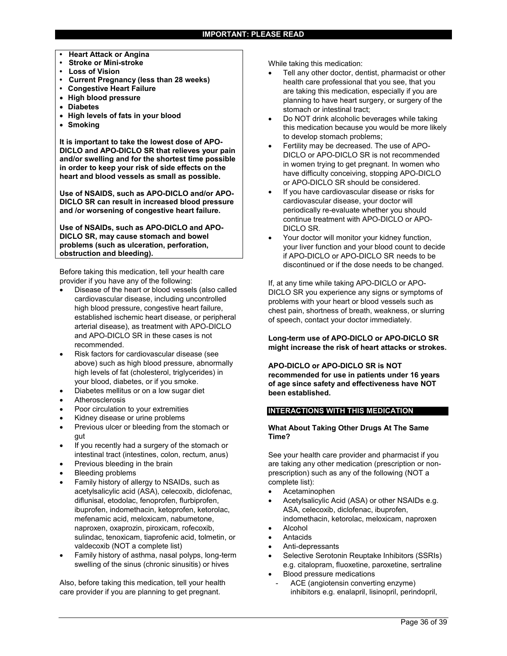- **• Heart Attack or Angina**
- **• Stroke or Mini-stroke**
- **• Loss of Vision**
- **• Current Pregnancy (less than 28 weeks)**
- **• Congestive Heart Failure**
- **High blood pressure**
- **Diabetes**
- **High levels of fats in your blood**
- **Smoking**

**It is important to take the lowest dose of APO-DICLO and APO-DICLO SR that relieves your pain and/or swelling and for the shortest time possible in order to keep your risk of side effects on the heart and blood vessels as small as possible.**

**Use of NSAIDS, such as APO-DICLO and/or APO-DICLO SR can result in increased blood pressure and /or worsening of congestive heart failure.**

**Use of NSAIDs, such as APO-DICLO and APO-DICLO SR, may cause stomach and bowel problems (such as ulceration, perforation, obstruction and bleeding).**

Before taking this medication, tell your health care provider if you have any of the following:

- Disease of the heart or blood vessels (also called cardiovascular disease, including uncontrolled high blood pressure, congestive heart failure, established ischemic heart disease, or peripheral arterial disease), as treatment with APO-DICLO and APO-DICLO SR in these cases is not recommended.
- Risk factors for cardiovascular disease (see above) such as high blood pressure, abnormally high levels of fat (cholesterol, triglycerides) in your blood, diabetes, or if you smoke.
- Diabetes mellitus or on a low sugar diet
- Atherosclerosis
- Poor circulation to your extremities
- Kidney disease or urine problems
- Previous ulcer or bleeding from the stomach or gut
- If you recently had a surgery of the stomach or intestinal tract (intestines, colon, rectum, anus)
- Previous bleeding in the brain
- Bleeding problems
- Family history of allergy to NSAIDs, such as acetylsalicylic acid (ASA), celecoxib, diclofenac, diflunisal, etodolac, fenoprofen, flurbiprofen, ibuprofen, indomethacin, ketoprofen, ketorolac, mefenamic acid, meloxicam, nabumetone, naproxen, oxaprozin, piroxicam, rofecoxib, sulindac, tenoxicam, tiaprofenic acid, tolmetin, or valdecoxib (NOT a complete list)
- Family history of asthma, nasal polyps, long-term swelling of the sinus (chronic sinusitis) or hives

Also, before taking this medication, tell your health care provider if you are planning to get pregnant.

While taking this medication:

- Tell any other doctor, dentist, pharmacist or other health care professional that you see, that you are taking this medication, especially if you are planning to have heart surgery, or surgery of the stomach or intestinal tract;
- Do NOT drink alcoholic beverages while taking this medication because you would be more likely to develop stomach problems;
- Fertility may be decreased. The use of APO-DICLO or APO-DICLO SR is not recommended in women trying to get pregnant. In women who have difficulty conceiving, stopping APO-DICLO or APO-DICLO SR should be considered.
- If you have cardiovascular disease or risks for cardiovascular disease, your doctor will periodically re-evaluate whether you should continue treatment with APO-DICLO or APO-DICLO SR.
- Your doctor will monitor your kidney function, your liver function and your blood count to decide if APO-DICLO or APO-DICLO SR needs to be discontinued or if the dose needs to be changed.

If, at any time while taking APO-DICLO or APO-DICLO SR you experience any signs or symptoms of problems with your heart or blood vessels such as chest pain, shortness of breath, weakness, or slurring of speech, contact your doctor immediately.

**Long-term use of APO-DICLO or APO-DICLO SR might increase the risk of heart attacks or strokes.**

**APO-DICLO or APO-DICLO SR is NOT recommended for use in patients under 16 years of age since safety and effectiveness have NOT been established.**

#### **INTERACTIONS WITH THIS MEDICATION**

#### **What About Taking Other Drugs At The Same Time?**

See your health care provider and pharmacist if you are taking any other medication (prescription or nonprescription) such as any of the following (NOT a complete list):

- Acetaminophen
- Acetylsalicylic Acid (ASA) or other NSAIDs e.g. ASA, celecoxib, diclofenac, ibuprofen, indomethacin, ketorolac, meloxicam, naproxen
- Alcohol
- Antacids
- Anti-depressants
- Selective Serotonin Reuptake Inhibitors (SSRIs) e.g. citalopram, fluoxetine, paroxetine, sertraline
- Blood pressure medications
	- ACE (angiotensin converting enzyme) inhibitors e.g. enalapril, lisinopril, perindopril,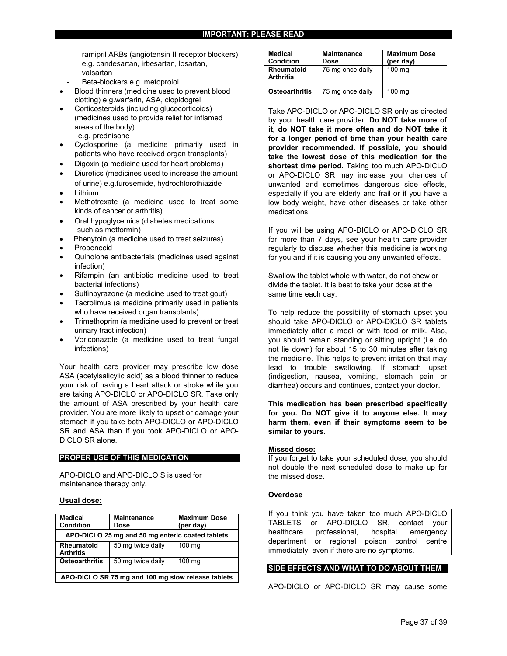ramipril ARBs (angiotensin II receptor blockers) e.g. candesartan, irbesartan, losartan, valsartan

- Beta-blockers e.g. metoprolol
- Blood thinners (medicine used to prevent blood clotting) e.g.warfarin, ASA, clopidogrel
- Corticosteroids (including glucocorticoids) (medicines used to provide relief for inflamed areas of the body) e.g. prednisone
- Cyclosporine (a medicine primarily used in patients who have received organ transplants)
- Digoxin (a medicine used for heart problems)
- Diuretics (medicines used to increase the amount of urine) e.g.furosemide, hydrochlorothiazide
- Lithium
- Methotrexate (a medicine used to treat some kinds of cancer or arthritis)
- Oral hypoglycemics (diabetes medications such as metformin)
- Phenytoin (a medicine used to treat seizures).
- Probenecid
- Quinolone antibacterials (medicines used against infection)
- Rifampin (an antibiotic medicine used to treat bacterial infections)
- Sulfinpyrazone (a medicine used to treat gout)
- Tacrolimus (a medicine primarily used in patients who have received organ transplants)
- Trimethoprim (a medicine used to prevent or treat urinary tract infection)
- Voriconazole (a medicine used to treat fungal infections)

Your health care provider may prescribe low dose ASA (acetylsalicylic acid) as a blood thinner to reduce your risk of having a heart attack or stroke while you are taking APO-DICLO or APO-DICLO SR. Take only the amount of ASA prescribed by your health care provider. You are more likely to upset or damage your stomach if you take both APO-DICLO or APO-DICLO SR and ASA than if you took APO-DICLO or APO-DICLO SR alone.

#### **PROPER USE OF THIS MEDICATION**

APO-DICLO and APO-DICLO S is used for maintenance therapy only.

#### **Usual dose:**

| <b>Medical</b><br><b>Condition</b>                 | <b>Maintenance</b><br>Dose | <b>Maximum Dose</b><br>(per day) |  |
|----------------------------------------------------|----------------------------|----------------------------------|--|
| APO-DICLO 25 mg and 50 mg enteric coated tablets   |                            |                                  |  |
| <b>Rheumatoid</b><br><b>Arthritis</b>              | 50 mg twice daily          | 100 mg                           |  |
| <b>Osteoarthritis</b>                              | 50 mg twice daily          | 100 mg                           |  |
| APO-DICLO SR 75 mg and 100 mg slow release tablets |                            |                                  |  |

| <b>Medical</b><br>Condition    | <b>Maintenance</b><br>Dose | <b>Maximum Dose</b><br>(per day) |
|--------------------------------|----------------------------|----------------------------------|
| Rheumatoid<br><b>Arthritis</b> | 75 mg once daily           | 100 mg                           |
| <b>Osteoarthritis</b>          | 75 mg once daily           | 100 mg                           |

Take APO-DICLO or APO-DICLO SR only as directed by your health care provider. **Do NOT take more of it**, **do NOT take it more often and do NOT take it for a longer period of time than your health care provider recommended. If possible, you should take the lowest dose of this medication for the shortest time period.** Taking too much APO-DICLO or APO-DICLO SR may increase your chances of unwanted and sometimes dangerous side effects, especially if you are elderly and frail or if you have a low body weight, have other diseases or take other medications.

If you will be using APO-DICLO or APO-DICLO SR for more than 7 days, see your health care provider regularly to discuss whether this medicine is working for you and if it is causing you any unwanted effects.

Swallow the tablet whole with water, do not chew or divide the tablet. It is best to take your dose at the same time each day.

To help reduce the possibility of stomach upset you should take APO-DICLO or APO-DICLO SR tablets immediately after a meal or with food or milk. Also, you should remain standing or sitting upright (i.e. do not lie down) for about 15 to 30 minutes after taking the medicine. This helps to prevent irritation that may lead to trouble swallowing. If stomach upset (indigestion, nausea, vomiting, stomach pain or diarrhea) occurs and continues, contact your doctor.

**This medication has been prescribed specifically for you. Do NOT give it to anyone else. It may harm them, even if their symptoms seem to be similar to yours.**

#### **Missed dose:**

If you forget to take your scheduled dose, you should not double the next scheduled dose to make up for the missed dose.

#### **Overdose**

If you think you have taken too much APO-DICLO TABLETS or APO-DICLO SR, contact your healthcare professional, hospital emergency department or regional poison control centre immediately, even if there are no symptoms.

#### **SIDE EFFECTS AND WHAT TO DO ABOUT THEM**

APO-DICLO or APO-DICLO SR may cause some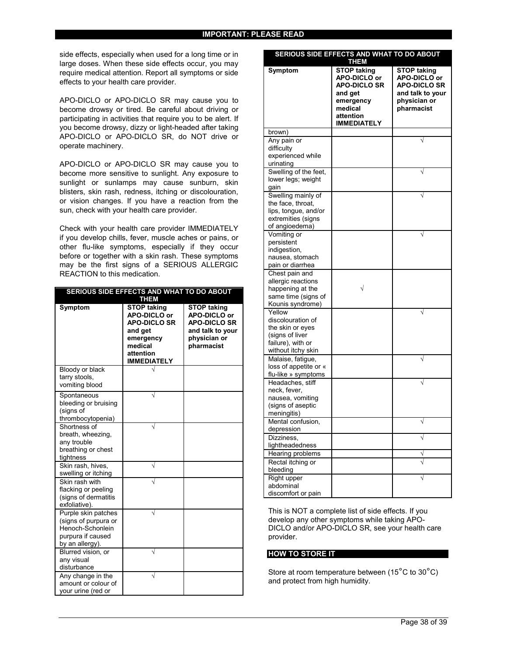side effects, especially when used for a long time or in large doses. When these side effects occur, you may require medical attention. Report all symptoms or side effects to your health care provider.

APO-DICLO or APO-DICLO SR may cause you to become drowsy or tired. Be careful about driving or participating in activities that require you to be alert. If you become drowsy, dizzy or light-headed after taking APO-DICLO or APO-DICLO SR, do NOT drive or operate machinery.

APO-DICLO or APO-DICLO SR may cause you to become more sensitive to sunlight. Any exposure to sunlight or sunlamps may cause sunburn, skin blisters, skin rash, redness, itching or discolouration, or vision changes. If you have a reaction from the sun, check with your health care provider.

Check with your health care provider IMMEDIATELY if you develop chills, fever, muscle aches or pains, or other flu-like symptoms, especially if they occur before or together with a skin rash. These symptoms may be the first signs of a SERIOUS ALLERGIC REACTION to this medication.

| SERIOUS SIDE EFFECTS AND WHAT TO DO ABOUT<br><b>THEM</b>                                                |                                                                                                                                 |                                                                                                             |  |
|---------------------------------------------------------------------------------------------------------|---------------------------------------------------------------------------------------------------------------------------------|-------------------------------------------------------------------------------------------------------------|--|
| <b>Symptom</b>                                                                                          | <b>STOP taking</b><br>APO-DICLO or<br><b>APO-DICLO SR</b><br>and get<br>emergency<br>medical<br>attention<br><b>IMMEDIATELY</b> | <b>STOP taking</b><br>APO-DICLO or<br><b>APO-DICLO SR</b><br>and talk to your<br>physician or<br>pharmacist |  |
| Bloody or black<br>tarry stools.<br>vomiting blood                                                      |                                                                                                                                 |                                                                                                             |  |
| Spontaneous<br>bleeding or bruising<br>(signs of<br>thrombocytopenia)                                   |                                                                                                                                 |                                                                                                             |  |
| Shortness of<br>breath, wheezing,<br>any trouble<br>breathing or chest<br>tightness                     |                                                                                                                                 |                                                                                                             |  |
| Skin rash, hives,<br>swelling or itching                                                                |                                                                                                                                 |                                                                                                             |  |
| Skin rash with<br>flacking or peeling<br>(signs of dermatitis<br>exfoliative).                          |                                                                                                                                 |                                                                                                             |  |
| Purple skin patches<br>(signs of purpura or<br>Henoch-Schonlein<br>purpura if caused<br>by an allergy). |                                                                                                                                 |                                                                                                             |  |
| Blurred vision, or<br>any visual<br>disturbance                                                         |                                                                                                                                 |                                                                                                             |  |
| Any change in the<br>amount or colour of<br>your urine (red or                                          |                                                                                                                                 |                                                                                                             |  |

| SERIOUS SIDE EFFECTS AND WHAT TO DO ABOUT<br><b>THEM</b>                                                      |                                                                                                                          |                                                                                                      |  |
|---------------------------------------------------------------------------------------------------------------|--------------------------------------------------------------------------------------------------------------------------|------------------------------------------------------------------------------------------------------|--|
| Symptom                                                                                                       | <b>STOP taking</b><br>APO-DICLO or<br><b>APO-DICLO SR</b><br>and get<br>emergency<br>medical<br>attention<br>IMMEDIATELY | <b>STOP taking</b><br>APO-DICLO or<br>APO-DICLO SR<br>and talk to your<br>physician or<br>pharmacist |  |
| brown)                                                                                                        |                                                                                                                          |                                                                                                      |  |
| Any pain or<br>difficulty<br>experienced while<br>urinating                                                   |                                                                                                                          |                                                                                                      |  |
| Swelling of the feet,<br>lower legs; weight<br>gain                                                           |                                                                                                                          |                                                                                                      |  |
| Swelling mainly of<br>the face, throat,<br>lips, tongue, and/or<br>extremities (signs<br>of angioedema)       |                                                                                                                          |                                                                                                      |  |
| Vomiting or<br>persistent<br>indigestion,<br>nausea, stomach<br>pain or diarrhea                              |                                                                                                                          |                                                                                                      |  |
| Chest pain and<br>allergic reactions<br>happening at the<br>same time (signs of<br>Kounis syndrome)           |                                                                                                                          |                                                                                                      |  |
| Yellow<br>discolouration of<br>the skin or eyes<br>(signs of liver<br>failure), with or<br>without itchy skin |                                                                                                                          |                                                                                                      |  |
| Malaise, fatigue,<br>loss of appetite or «<br>flu-like » symptoms                                             |                                                                                                                          |                                                                                                      |  |
| Headaches, stiff<br>neck, fever,<br>nausea, vomiting<br>(signs of aseptic<br>meningitis)                      |                                                                                                                          |                                                                                                      |  |
| Mental confusion,<br>depression                                                                               |                                                                                                                          |                                                                                                      |  |
| Dizziness,<br>lightheadedness                                                                                 |                                                                                                                          |                                                                                                      |  |
| Hearing problems<br>Rectal itching or<br>bleeding                                                             |                                                                                                                          |                                                                                                      |  |
| <b>Right upper</b><br>abdominal<br>discomfort or pain                                                         |                                                                                                                          |                                                                                                      |  |

This is NOT a complete list of side effects. If you develop any other symptoms while taking APO-DICLO and/or APO-DICLO SR, see your health care provider.

#### **HOW TO STORE IT**

Store at room temperature between (15°C to 30°C) and protect from high humidity.